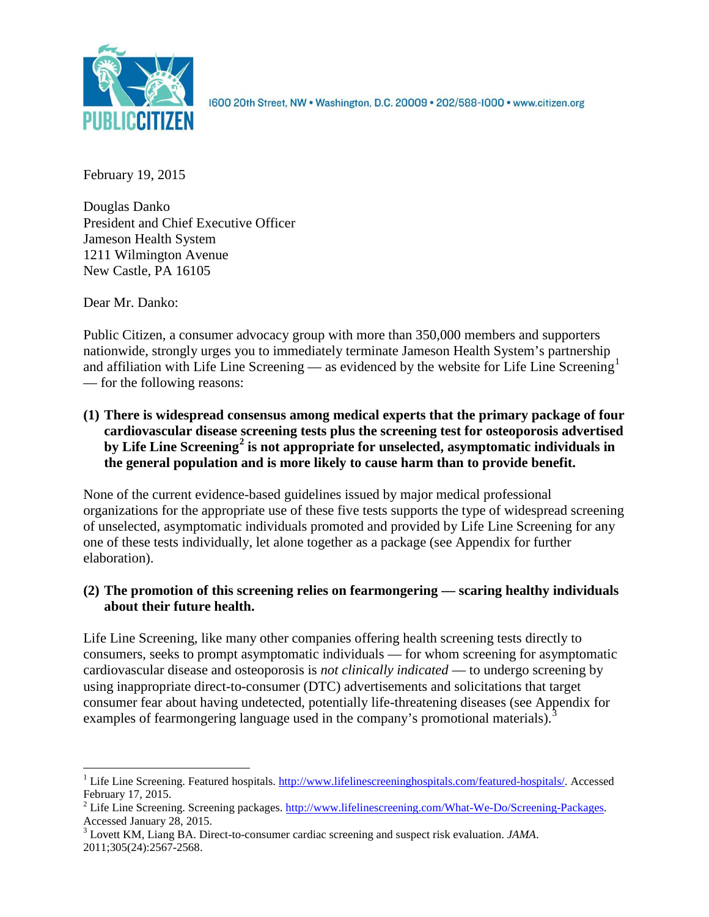

1600 20th Street, NW . Washington, D.C. 20009 . 202/588-1000 . www.citizen.org

February 19, 2015

Douglas Danko President and Chief Executive Officer Jameson Health System 1211 Wilmington Avenue New Castle, PA 16105

Dear Mr. Danko:

Public Citizen, a consumer advocacy group with more than 350,000 members and supporters nationwide, strongly urges you to immediately terminate Jameson Health System's partnership and affiliation with Life Line Screening — as evidenced by the website for Life Line Screening<sup>[1](#page-0-0)</sup> — for the following reasons:

**(1) There is widespread consensus among medical experts that the primary package of four cardiovascular disease screening tests plus the screening test for osteoporosis advertised by Life Line Screening[2](#page-0-1) is not appropriate for unselected, asymptomatic individuals in the general population and is more likely to cause harm than to provide benefit.**

None of the current evidence-based guidelines issued by major medical professional organizations for the appropriate use of these five tests supports the type of widespread screening of unselected, asymptomatic individuals promoted and provided by Life Line Screening for any one of these tests individually, let alone together as a package (see Appendix for further elaboration).

# **(2) The promotion of this screening relies on fearmongering — scaring healthy individuals about their future health.**

Life Line Screening, like many other companies offering health screening tests directly to consumers, seeks to prompt asymptomatic individuals — for whom screening for asymptomatic cardiovascular disease and osteoporosis is *not clinically indicated* — to undergo screening by using inappropriate direct-to-consumer (DTC) advertisements and solicitations that target consumer fear about having undetected, potentially life-threatening diseases (see Appendix for examples of fearmongering language used in the company's promotional materials).<sup>[3](#page-0-2)</sup>

<span id="page-0-0"></span><sup>&</sup>lt;sup>1</sup> Life Line Screening. Featured hospitals. [http://www.lifelinescreeninghospitals.com/featured-hospitals/.](http://www.lifelinescreeninghospitals.com/featured-hospitals/) Accessed

<span id="page-0-1"></span>February 17, 2015.<br><sup>2</sup> Life Line Screening. Screening packages. [http://www.lifelinescreening.com/What-We-Do/Screening-Packages.](http://www.lifelinescreening.com/What-We-Do/Screening-Packages)<br>Accessed January 28, 2015.

<span id="page-0-2"></span><sup>&</sup>lt;sup>3</sup> Lovett KM, Liang BA. Direct-to-consumer cardiac screening and suspect risk evaluation. *JAMA*. 2011;305(24):2567-2568.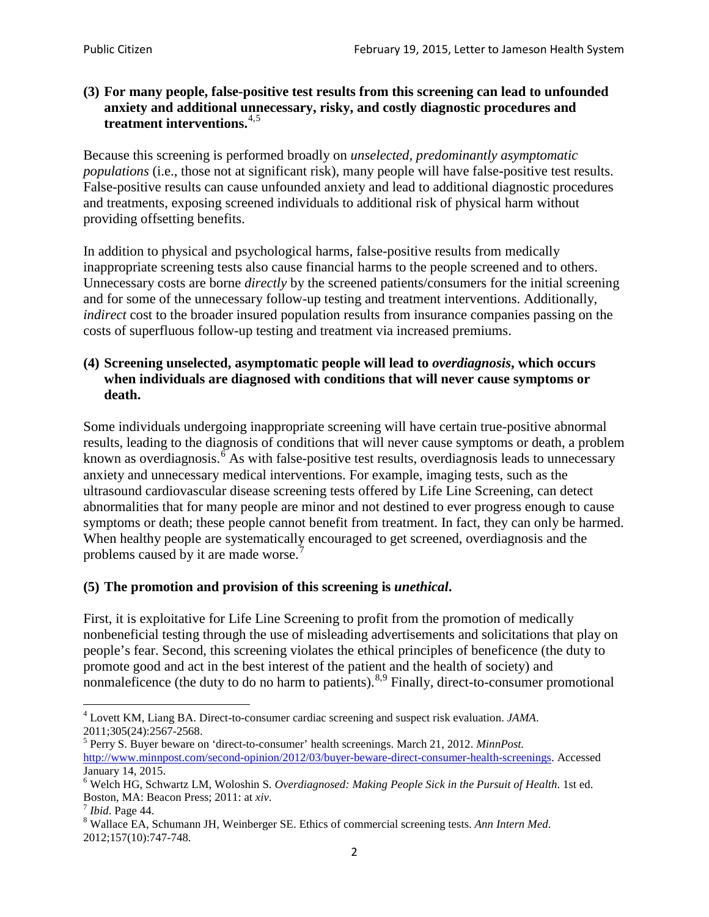### **(3) For many people, false-positive test results from this screening can lead to unfounded anxiety and additional unnecessary, risky, and costly diagnostic procedures and treatment interventions.**[4](#page-1-0),[5](#page-1-1)

Because this screening is performed broadly on *unselected, predominantly asymptomatic populations* (i.e., those not at significant risk), many people will have false**-**positive test results. False-positive results can cause unfounded anxiety and lead to additional diagnostic procedures and treatments, exposing screened individuals to additional risk of physical harm without providing offsetting benefits.

In addition to physical and psychological harms, false-positive results from medically inappropriate screening tests also cause financial harms to the people screened and to others. Unnecessary costs are borne *directly* by the screened patients/consumers for the initial screening and for some of the unnecessary follow-up testing and treatment interventions. Additionally, *indirect* cost to the broader insured population results from insurance companies passing on the costs of superfluous follow-up testing and treatment via increased premiums.

## **(4) Screening unselected, asymptomatic people will lead to** *overdiagnosis***, which occurs when individuals are diagnosed with conditions that will never cause symptoms or death.**

Some individuals undergoing inappropriate screening will have certain true-positive abnormal results, leading to the diagnosis of conditions that will never cause symptoms or death, a problem known as overdiagnosis.<sup>[6](#page-1-2)</sup> As with false-positive test results, overdiagnosis leads to unnecessary anxiety and unnecessary medical interventions. For example, imaging tests, such as the ultrasound cardiovascular disease screening tests offered by Life Line Screening, can detect abnormalities that for many people are minor and not destined to ever progress enough to cause symptoms or death; these people cannot benefit from treatment. In fact, they can only be harmed. When healthy people are systematically encouraged to get screened, overdiagnosis and the problems caused by it are made worse.<sup>[7](#page-1-3)</sup>

# **(5) The promotion and provision of this screening is** *unethical***.**

First, it is exploitative for Life Line Screening to profit from the promotion of medically nonbeneficial testing through the use of misleading advertisements and solicitations that play on people's fear. Second, this screening violates the ethical principles of beneficence (the duty to promote good and act in the best interest of the patient and the health of society) and nonmaleficence (the duty to do no harm to patients).  $8.9$  $8.9$  $8.9$  Finally, direct-to-consumer promotional

<span id="page-1-4"></span>2012;157(10):747-748.

<span id="page-1-5"></span><span id="page-1-0"></span><sup>4</sup> Lovett KM, Liang BA. Direct-to-consumer cardiac screening and suspect risk evaluation. *JAMA*.

<span id="page-1-1"></span><sup>2011;305(24):2567-2568.</sup> <sup>5</sup> Perry S. Buyer beware on 'direct-to-consumer' health screenings. March 21, 2012. *MinnPost.*  [http://www.minnpost.com/second-opinion/2012/03/buyer-beware-direct-consumer-health-screenings.](http://www.minnpost.com/second-opinion/2012/03/buyer-beware-direct-consumer-health-screenings) Accessed January 14, 2015.

<span id="page-1-2"></span><sup>6</sup> Welch HG, Schwartz LM, Woloshin S. *Overdiagnosed: Making People Sick in the Pursuit of Health*. 1st ed. Boston, MA: Beacon Press; 2011: at *xiv*.<br><sup>7</sup> *Ibid*. Page 44.<br><sup>8</sup> Wallace EA, Schumann JH, Weinberger SE. Ethics of commercial screening tests. *Ann Intern Med*.

<span id="page-1-3"></span>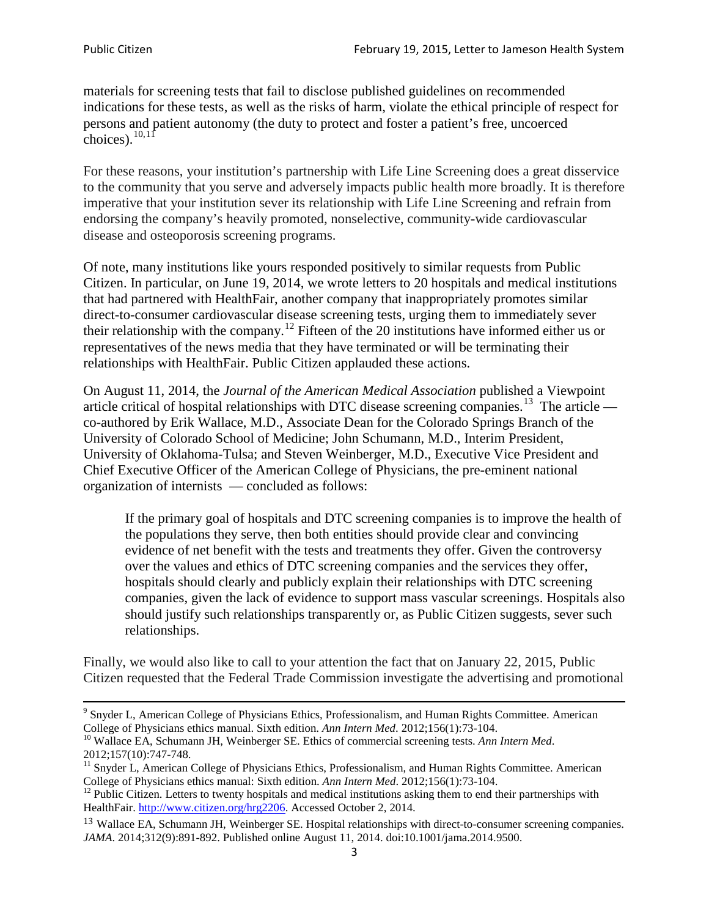materials for screening tests that fail to disclose published guidelines on recommended indications for these tests, as well as the risks of harm, violate the ethical principle of respect for persons and patient autonomy (the duty to protect and foster a patient's free, uncoerced choices). $\frac{10,11}{10,11}$  $\frac{10,11}{10,11}$  $\frac{10,11}{10,11}$  $\frac{10,11}{10,11}$ 

For these reasons, your institution's partnership with Life Line Screening does a great disservice to the community that you serve and adversely impacts public health more broadly. It is therefore imperative that your institution sever its relationship with Life Line Screening and refrain from endorsing the company's heavily promoted, nonselective, community**-**wide cardiovascular disease and osteoporosis screening programs.

Of note, many institutions like yours responded positively to similar requests from Public Citizen. In particular, on June 19, 2014, we wrote letters to 20 hospitals and medical institutions that had partnered with HealthFair, another company that inappropriately promotes similar direct-to-consumer cardiovascular disease screening tests, urging them to immediately sever their relationship with the company. [12](#page-2-2) Fifteen of the 20 institutions have informed either us or representatives of the news media that they have terminated or will be terminating their relationships with HealthFair. Public Citizen applauded these actions.

On August 11, 2014, the *Journal of the American Medical Association* published a Viewpoint article critical of hospital relationships with DTC disease screening companies.<sup>13</sup> The article co-authored by Erik Wallace, M.D., Associate Dean for the Colorado Springs Branch of the University of Colorado School of Medicine; John Schumann, M.D., Interim President, University of Oklahoma-Tulsa; and Steven Weinberger, M.D., Executive Vice President and Chief Executive Officer of the American College of Physicians, the pre**-**eminent national organization of internists — concluded as follows:

If the primary goal of hospitals and DTC screening companies is to improve the health of the populations they serve, then both entities should provide clear and convincing evidence of net benefit with the tests and treatments they offer. Given the controversy over the values and ethics of DTC screening companies and the services they offer, hospitals should clearly and publicly explain their relationships with DTC screening companies, given the lack of evidence to support mass vascular screenings. Hospitals also should justify such relationships transparently or, as Public Citizen suggests, sever such relationships.

Finally, we would also like to call to your attention the fact that on January 22, 2015, Public Citizen requested that the Federal Trade Commission investigate the advertising and promotional

<sup>&</sup>lt;sup>9</sup> Snyder L, American College of Physicians Ethics, Professionalism, and Human Rights Committee. American College of Physicians ethics manual. Sixth edition. Ann Intern Med. 2012;156(1):73-104.

<span id="page-2-0"></span><sup>&</sup>lt;sup>10</sup> Wallace EA, Schumann JH, Weinberger SE. Ethics of commercial screening tests. *Ann Intern Med*. 2012;157(10):747-748.

<span id="page-2-1"></span> $11$  Snyder L, American College of Physicians Ethics, Professionalism, and Human Rights Committee. American College of Physicians ethics manual: Sixth edition. *Ann Intern Med*. 2012;156(1):73-104.<br><sup>12</sup> Public Citizen. Letters to twenty hospitals and medical institutions asking them to end their partnerships with

<span id="page-2-2"></span>HealthFair. [http://www.citizen.org/hrg2206.](http://www.citizen.org/hrg2206) Accessed October 2, 2014.

<span id="page-2-3"></span><sup>13</sup> Wallace EA, Schumann JH, Weinberger SE. Hospital relationships with direct-to-consumer screening companies. *JAMA*. 2014;312(9):891-892. Published online August 11, 2014. doi:10.1001/jama.2014.9500.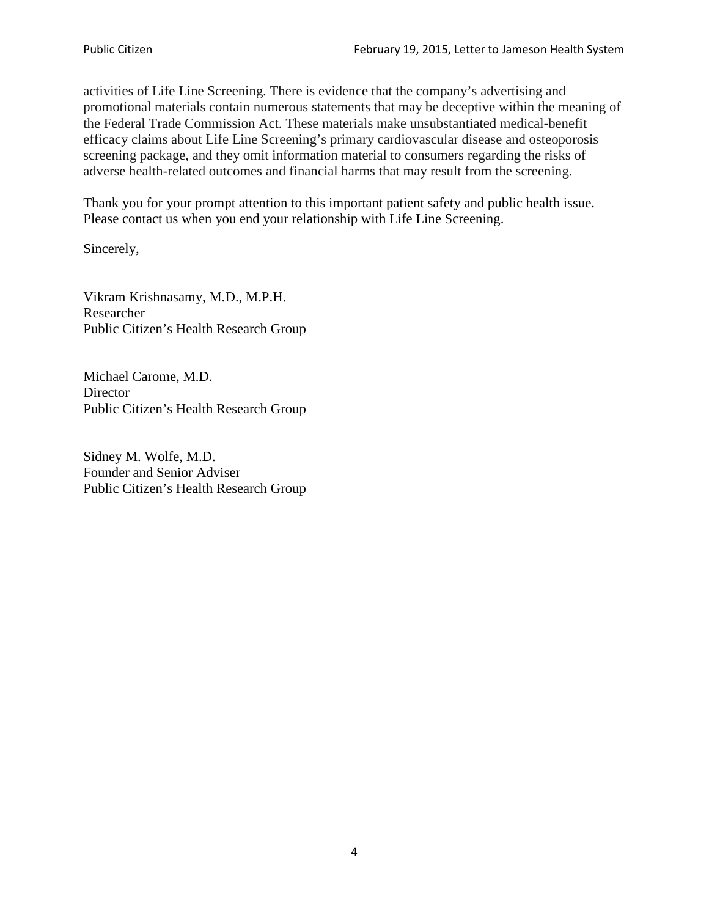activities of Life Line Screening. There is evidence that the company's advertising and promotional materials contain numerous statements that may be deceptive within the meaning of the Federal Trade Commission Act. These materials make unsubstantiated medical-benefit efficacy claims about Life Line Screening's primary cardiovascular disease and osteoporosis screening package, and they omit information material to consumers regarding the risks of adverse health-related outcomes and financial harms that may result from the screening.

Thank you for your prompt attention to this important patient safety and public health issue. Please contact us when you end your relationship with Life Line Screening.

Sincerely,

Vikram Krishnasamy, M.D., M.P.H. Researcher Public Citizen's Health Research Group

Michael Carome, M.D. **Director** Public Citizen's Health Research Group

Sidney M. Wolfe, M.D. Founder and Senior Adviser Public Citizen's Health Research Group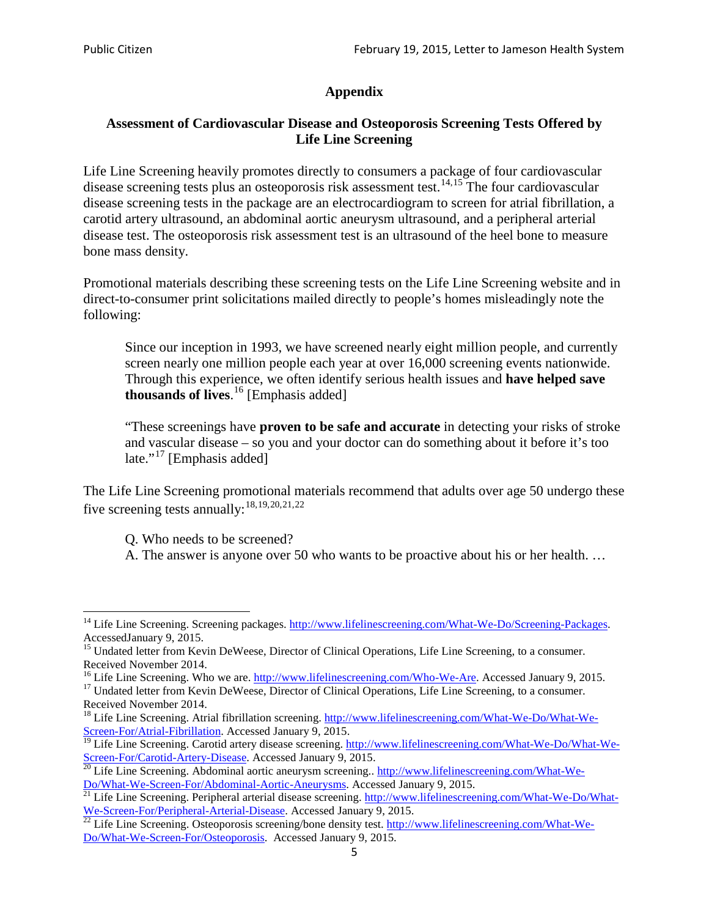# **Appendix**

## **Assessment of Cardiovascular Disease and Osteoporosis Screening Tests Offered by Life Line Screening**

Life Line Screening heavily promotes directly to consumers a package of four cardiovascular disease screening tests plus an osteoporosis risk assessment test.<sup>[14](#page-4-0),[15](#page-4-1)</sup> The four cardiovascular disease screening tests in the package are an electrocardiogram to screen for atrial fibrillation, a carotid artery ultrasound, an abdominal aortic aneurysm ultrasound, and a peripheral arterial disease test. The osteoporosis risk assessment test is an ultrasound of the heel bone to measure bone mass density.

Promotional materials describing these screening tests on the Life Line Screening website and in direct-to-consumer print solicitations mailed directly to people's homes misleadingly note the following:

Since our inception in 1993, we have screened nearly eight million people, and currently screen nearly one million people each year at over 16,000 screening events nationwide. Through this experience, we often identify serious health issues and **have helped save thousands of lives**. [16](#page-4-2) [Emphasis added]

"These screenings have **proven to be safe and accurate** in detecting your risks of stroke and vascular disease – so you and your doctor can do something about it before it's too late."<sup>[17](#page-4-3)</sup> [Emphasis added]

The Life Line Screening promotional materials recommend that adults over age 50 undergo these five screening tests annually:<sup>[18](#page-4-4),[19,](#page-4-5)[20,](#page-4-6)[21](#page-4-7),[22](#page-4-8)</sup>

Q. Who needs to be screened?

A. The answer is anyone over 50 who wants to be proactive about his or her health. …

<span id="page-4-0"></span><sup>&</sup>lt;sup>14</sup> Life Line Screening. Screening packages. [http://www.lifelinescreening.com/What-We-Do/Screening-Packages.](http://www.lifelinescreening.com/What-We-Do/Screening-Packages) AccessedJanuary 9, 2015.

<span id="page-4-1"></span><sup>&</sup>lt;sup>15</sup> Undated letter from Kevin DeWeese, Director of Clinical Operations, Life Line Screening, to a consumer.

Received November 2014.<br><sup>16</sup> Life Line Screening. Who we are. http://www.lifelinescreening.com/Who-We-Are. Accessed January 9, 2015.

<span id="page-4-3"></span><span id="page-4-2"></span><sup>&</sup>lt;sup>17</sup> Undated letter from Kevin DeWeese, Director of Clinical Operations, Life Line Screening, to a consumer. Received November 2014.

<span id="page-4-4"></span><sup>&</sup>lt;sup>18</sup> Life Line Screening. Atrial fibrillation screening. [http://www.lifelinescreening.com/What-We-Do/What-We-](http://www.lifelinescreening.com/What-We-Do/What-We-Screen-For/Atrial-Fibrillation)[Screen-For/Atrial-Fibrillation.](http://www.lifelinescreening.com/What-We-Do/What-We-Screen-For/Atrial-Fibrillation) Accessed January 9, 2015.

<sup>&</sup>lt;sup>19</sup> Life Line Screening. Carotid artery disease screening. [http://www.lifelinescreening.com/What-We-Do/What-We-](http://www.lifelinescreening.com/What-We-Do/What-We-Screen-For/Carotid-Artery-Disease)

<span id="page-4-6"></span><span id="page-4-5"></span>[Screen-For/Carotid-Artery-Disease.](http://www.lifelinescreening.com/What-We-Do/What-We-Screen-For/Carotid-Artery-Disease) Accessed January 9, 2015.<br><sup>20</sup> Life Line Screening. Abdominal aortic aneurysm screening.. http://www.lifelinescreening.com/What-We-Do/What-We-Do/What-We-Screen-For/Abdominal-Aortic-Aneury

<span id="page-4-7"></span><sup>&</sup>lt;sup>21</sup> Life Line Screening. Peripheral arterial disease screening. [http://www.lifelinescreening.com/What-We-Do/What-](http://www.lifelinescreening.com/What-We-Do/What-We-Screen-For/Peripheral-Arterial-Disease)

<span id="page-4-8"></span>[We-Screen-For/Peripheral-Arterial-Disease.](http://www.lifelinescreening.com/What-We-Do/What-We-Screen-For/Peripheral-Arterial-Disease) Accessed January 9, 2015.<br><sup>22</sup> Life Line Screening. Osteoporosis screening/bone density test. [http://www.lifelinescreening.com/What-We-](http://www.lifelinescreening.com/What-We-Do/What-We-Screen-For/Osteoporosis)[Do/What-We-Screen-For/Osteoporosis.](http://www.lifelinescreening.com/What-We-Do/What-We-Screen-For/Osteoporosis) Accessed January 9, 2015.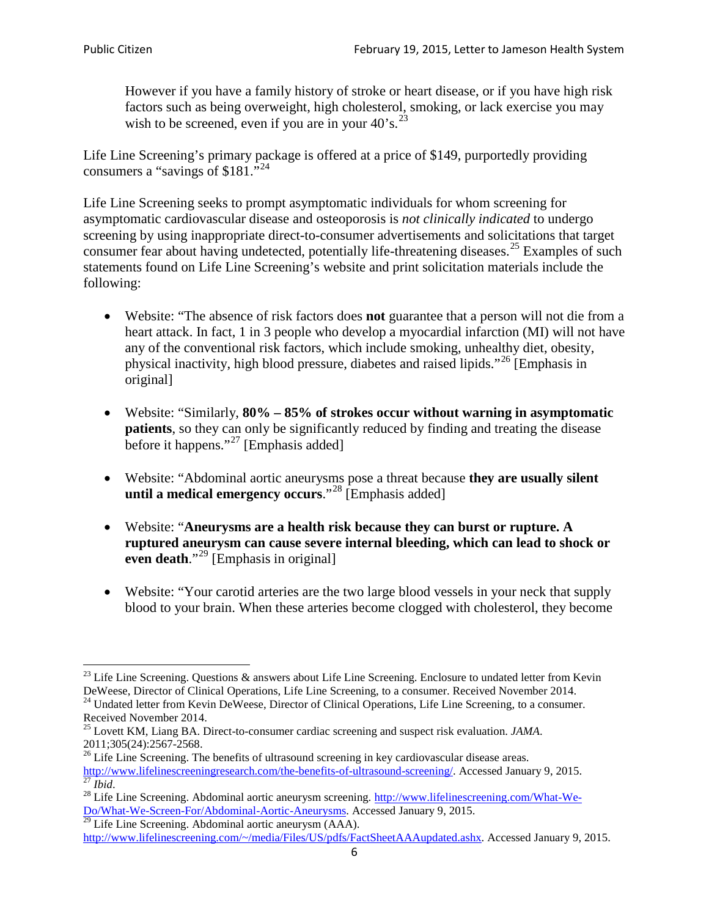However if you have a family history of stroke or heart disease, or if you have high risk factors such as being overweight, high cholesterol, smoking, or lack exercise you may wish to be screened, even if you are in your  $40^\circ$ s.<sup>[23](#page-5-0)</sup>

Life Line Screening's primary package is offered at a price of \$149, purportedly providing consumers a "savings of \$181."<sup>[24](#page-5-1)</sup>

Life Line Screening seeks to prompt asymptomatic individuals for whom screening for asymptomatic cardiovascular disease and osteoporosis is *not clinically indicated* to undergo screening by using inappropriate direct-to-consumer advertisements and solicitations that target consumer fear about having undetected, potentially life-threatening diseases.<sup>[25](#page-5-2)</sup> Examples of such statements found on Life Line Screening's website and print solicitation materials include the following:

- Website: "The absence of risk factors does **not** guarantee that a person will not die from a heart attack. In fact, 1 in 3 people who develop a myocardial infarction (MI) will not have any of the conventional risk factors, which include smoking, unhealthy diet, obesity, physical inactivity, high blood pressure, diabetes and raised lipids."[26](#page-5-3) [Emphasis in original]
- Website: "Similarly, **80% – 85% of strokes occur without warning in asymptomatic patients**, so they can only be significantly reduced by finding and treating the disease before it happens."<sup>[27](#page-5-4)</sup> [Emphasis added]
- Website: "Abdominal aortic aneurysms pose a threat because **they are usually silent until a medical emergency occurs**."[28](#page-5-5) [Emphasis added]
- Website: "**Aneurysms are a health risk because they can burst or rupture. A ruptured aneurysm can cause severe internal bleeding, which can lead to shock or even death.**"<sup>[29](#page-5-6)</sup> [Emphasis in original]
- Website: "Your carotid arteries are the two large blood vessels in your neck that supply blood to your brain. When these arteries become clogged with cholesterol, they become

<span id="page-5-0"></span><sup>&</sup>lt;sup>23</sup> Life Line Screening. Questions  $\&$  answers about Life Line Screening. Enclosure to undated letter from Kevin DeWeese, Director of Clinical Operations, Life Line Screening, to a consumer. Received November 2014.

<span id="page-5-1"></span><sup>&</sup>lt;sup>24</sup> Undated letter from Kevin DeWeese, Director of Clinical Operations, Life Line Screening, to a consumer. Received November 2014.

<span id="page-5-2"></span><sup>25</sup> Lovett KM, Liang BA. Direct-to-consumer cardiac screening and suspect risk evaluation. *JAMA*.  $2011;305(24):2567-2568$ .<br><sup>26</sup> Life Line Screening. The benefits of ultrasound screening in key cardiovascular disease areas.

<span id="page-5-3"></span>[http://www.lifelinescreeningresearch.com/the-benefits-of-ultrasound-screening/.](http://www.lifelinescreeningresearch.com/the-benefits-of-ultrasound-screening/) Accessed January 9, 2015.<br><sup>28</sup> Life Line Screening. Abdominal aortic aneurysm screening. http://www.lifelinescreening.com/What-We-<br><sup>28</sup> Life L

<span id="page-5-5"></span><span id="page-5-4"></span>[Do/What-We-Screen-For/Abdominal-Aortic-Aneurysms.](http://www.lifelinescreening.com/What-We-Do/What-We-Screen-For/Abdominal-Aortic-Aneurysms) Accessed January 9, 2015. <sup>29</sup> Life Line Screening. Abdominal aortic aneurysm (AAA).

<span id="page-5-6"></span>[http://www.lifelinescreening.com/~/media/Files/US/pdfs/FactSheetAAAupdated.ashx.](http://www.lifelinescreening.com/~/media/Files/US/pdfs/FactSheetAAAupdated.ashx) Accessed January 9, 2015.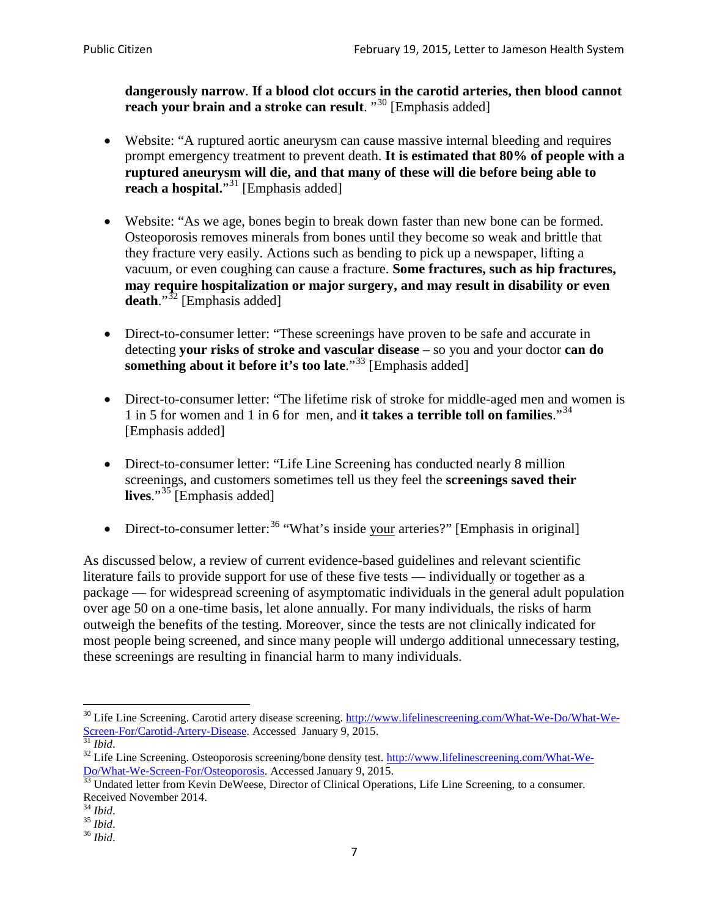**dangerously narrow**. **If a blood clot occurs in the carotid arteries, then blood cannot reach your brain and a stroke can result**. "<sup>[30](#page-6-0)</sup> [Emphasis added]

- Website: "A ruptured aortic aneurysm can cause massive internal bleeding and requires prompt emergency treatment to prevent death. **It is estimated that 80% of people with a ruptured aneurysm will die, and that many of these will die before being able to reach a hospital.**"<sup>[31](#page-6-1)</sup> [Emphasis added]
- Website: "As we age, bones begin to break down faster than new bone can be formed. Osteoporosis removes minerals from bones until they become so weak and brittle that they fracture very easily. Actions such as bending to pick up a newspaper, lifting a vacuum, or even coughing can cause a fracture. **Some fractures, such as hip fractures, may require hospitalization or major surgery, and may result in disability or even**  death."<sup>[32](#page-6-2)</sup> [Emphasis added]
- Direct-to-consumer letter: "These screenings have proven to be safe and accurate in detecting **your risks of stroke and vascular disease** – so you and your doctor **can do something about it before it's too late.**"<sup>[33](#page-6-3)</sup> [Emphasis added]
- Direct-to-consumer letter: "The lifetime risk of stroke for middle-aged men and women is 1 in 5 for women and 1 in 6 for men, and **it takes a terrible toll on families**."[34](#page-6-4) [Emphasis added]
- Direct-to-consumer letter: "Life Line Screening has conducted nearly 8 million screenings, and customers sometimes tell us they feel the **screenings saved their lives**."[35](#page-6-5) [Emphasis added]
- Direct-to-consumer letter:  $36$  "What's inside your arteries?" [Emphasis in original]

As discussed below, a review of current evidence-based guidelines and relevant scientific literature fails to provide support for use of these five tests — individually or together as a package — for widespread screening of asymptomatic individuals in the general adult population over age 50 on a one-time basis, let alone annually. For many individuals, the risks of harm outweigh the benefits of the testing. Moreover, since the tests are not clinically indicated for most people being screened, and since many people will undergo additional unnecessary testing, these screenings are resulting in financial harm to many individuals.

<span id="page-6-0"></span><sup>&</sup>lt;sup>30</sup> Life Line Screening. Carotid artery disease screening. [http://www.lifelinescreening.com/What-We-Do/What-We-](http://www.lifelinescreening.com/What-We-Do/What-We-Screen-For/Carotid-Artery-Disease)[Screen-For/Carotid-Artery-Disease.](http://www.lifelinescreening.com/What-We-Do/What-We-Screen-For/Carotid-Artery-Disease) Accessed January 9, 2015.<br><sup>31</sup> *Ibid.* 32 Life Line Screening. Osteoporosis screening/bone density test. [http://www.lifelinescreening.com/What-We-](http://www.lifelinescreening.com/What-We-Do/What-We-Screen-For/Osteoporosis)

<span id="page-6-2"></span><span id="page-6-1"></span>[Do/What-We-Screen-For/Osteoporosis.](http://www.lifelinescreening.com/What-We-Do/What-We-Screen-For/Osteoporosis) Accessed January 9, 2015. <sup>33</sup> Undated letter from Kevin DeWeese, Director of Clinical Operations, Life Line Screening, to a consumer.

<span id="page-6-3"></span>Received November 2014.<br><sup>34</sup> Ibid.

<span id="page-6-4"></span>

<span id="page-6-5"></span><sup>34</sup> *Ibid*. 35 *Ibid*. 36 *Ibid*.

<span id="page-6-6"></span>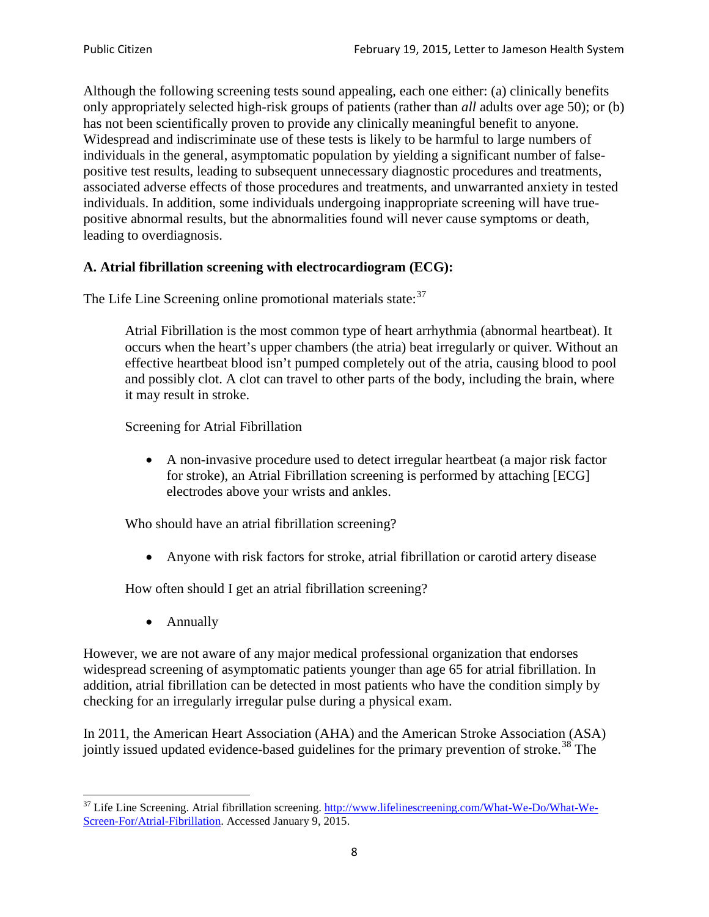Although the following screening tests sound appealing, each one either: (a) clinically benefits only appropriately selected high-risk groups of patients (rather than *all* adults over age 50); or (b) has not been scientifically proven to provide any clinically meaningful benefit to anyone. Widespread and indiscriminate use of these tests is likely to be harmful to large numbers of individuals in the general, asymptomatic population by yielding a significant number of falsepositive test results, leading to subsequent unnecessary diagnostic procedures and treatments, associated adverse effects of those procedures and treatments, and unwarranted anxiety in tested individuals. In addition, some individuals undergoing inappropriate screening will have truepositive abnormal results, but the abnormalities found will never cause symptoms or death, leading to overdiagnosis.

# **A. Atrial fibrillation screening with electrocardiogram (ECG):**

The Life Line Screening online promotional materials state:<sup>[37](#page-7-0)</sup>

Atrial Fibrillation is the most common type of heart arrhythmia (abnormal heartbeat). It occurs when the heart's upper chambers (the atria) beat irregularly or quiver. Without an effective heartbeat blood isn't pumped completely out of the atria, causing blood to pool and possibly clot. A clot can travel to other parts of the body, including the brain, where it may result in stroke.

Screening for Atrial Fibrillation

• A non-invasive procedure used to detect irregular heartbeat (a major risk factor for stroke), an Atrial Fibrillation screening is performed by attaching [ECG] electrodes above your wrists and ankles.

Who should have an atrial fibrillation screening?

• Anyone with risk factors for stroke, atrial fibrillation or carotid artery disease

How often should I get an atrial fibrillation screening?

• Annually

<span id="page-7-1"></span>However, we are not aware of any major medical professional organization that endorses widespread screening of asymptomatic patients younger than age 65 for atrial fibrillation. In addition, atrial fibrillation can be detected in most patients who have the condition simply by checking for an irregularly irregular pulse during a physical exam.

In 2011, the American Heart Association (AHA) and the American Stroke Association (ASA) jointly issued updated evidence-based guidelines for the primary prevention of stroke.<sup>[38](#page-7-1)</sup> The

<span id="page-7-0"></span><sup>&</sup>lt;sup>37</sup> Life Line Screening. Atrial fibrillation screening. [http://www.lifelinescreening.com/What-We-Do/What-We-](http://www.lifelinescreening.com/What-We-Do/What-We-Screen-For/Atrial-Fibrillation)[Screen-For/Atrial-Fibrillation.](http://www.lifelinescreening.com/What-We-Do/What-We-Screen-For/Atrial-Fibrillation) Accessed January 9, 2015.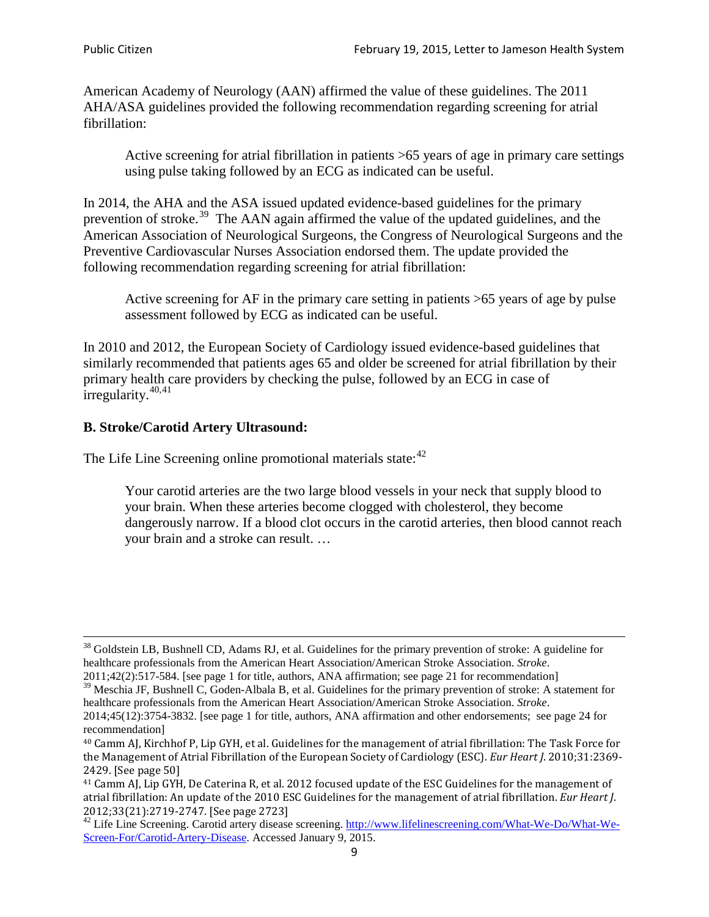American Academy of Neurology (AAN) affirmed the value of these guidelines. The 2011 AHA/ASA guidelines provided the following recommendation regarding screening for atrial fibrillation:

Active screening for atrial fibrillation in patients >65 years of age in primary care settings using pulse taking followed by an ECG as indicated can be useful.

In 2014, the AHA and the ASA issued updated evidence-based guidelines for the primary prevention of stroke.<sup>[39](#page-8-0)</sup> The AAN again affirmed the value of the updated guidelines, and the American Association of Neurological Surgeons, the Congress of Neurological Surgeons and the Preventive Cardiovascular Nurses Association endorsed them. The update provided the following recommendation regarding screening for atrial fibrillation:

Active screening for AF in the primary care setting in patients >65 years of age by pulse assessment followed by ECG as indicated can be useful.

In 2010 and 2012, the European Society of Cardiology issued evidence-based guidelines that similarly recommended that patients ages 65 and older be screened for atrial fibrillation by their primary health care providers by checking the pulse, followed by an ECG in case of irregularity. $40,41$  $40,41$ 

# **B. Stroke/Carotid Artery Ultrasound:**

The Life Line Screening online promotional materials state:<sup>[42](#page-8-3)</sup>

Your carotid arteries are the two large blood vessels in your neck that supply blood to your brain. When these arteries become clogged with cholesterol, they become dangerously narrow. If a blood clot occurs in the carotid arteries, then blood cannot reach your brain and a stroke can result. …

<sup>&</sup>lt;sup>38</sup> Goldstein LB, Bushnell CD, Adams RJ, et al. Guidelines for the primary prevention of stroke: A guideline for healthcare professionals from the American Heart Association/American Stroke Association. *Stroke*.

<sup>2011;42(2):517-584.</sup> [see page 1 for title, authors, ANA affirmation; see page 21 for recommendation]

<span id="page-8-0"></span> $\frac{2011,42(2)(317,601)}{39}$  Meschia JF, Bushnell C, Goden-Albala B, et al. Guidelines for the primary prevention of stroke: A statement for healthcare professionals from the American Heart Association/American Stroke Association. *Stroke*.

<sup>2014;45(12):3754-3832.</sup> [see page 1 for title, authors, ANA affirmation and other endorsements; see page 24 for recommendation]

<span id="page-8-1"></span><sup>40</sup> Camm AJ, Kirchhof P, Lip GYH, et al. Guidelines for the management of atrial fibrillation: The Task Force for the Management of Atrial Fibrillation of the European Society of Cardiology (ESC). *Eur Heart J*. 2010;31:2369- 2429. [See page 50]

<span id="page-8-2"></span><sup>41</sup> Camm AJ, Lip GYH, De Caterina R, et al. 2012 focused update of the ESC Guidelines for the management of atrial fibrillation: An update of the 2010 ESC Guidelines for the management of atrial fibrillation. *Eur Heart J*.

<span id="page-8-3"></span><sup>&</sup>lt;sup>2012</sup>;23(21):2719-2747. [See page 273] 42 Life Line Screening. [http://www.lifelinescreening.com/What-We-Do/What-We-](http://www.lifelinescreening.com/What-We-Do/What-We-Screen-For/Carotid-Artery-Disease)[Screen-For/Carotid-Artery-Disease.](http://www.lifelinescreening.com/What-We-Do/What-We-Screen-For/Carotid-Artery-Disease) Accessed January 9, 2015.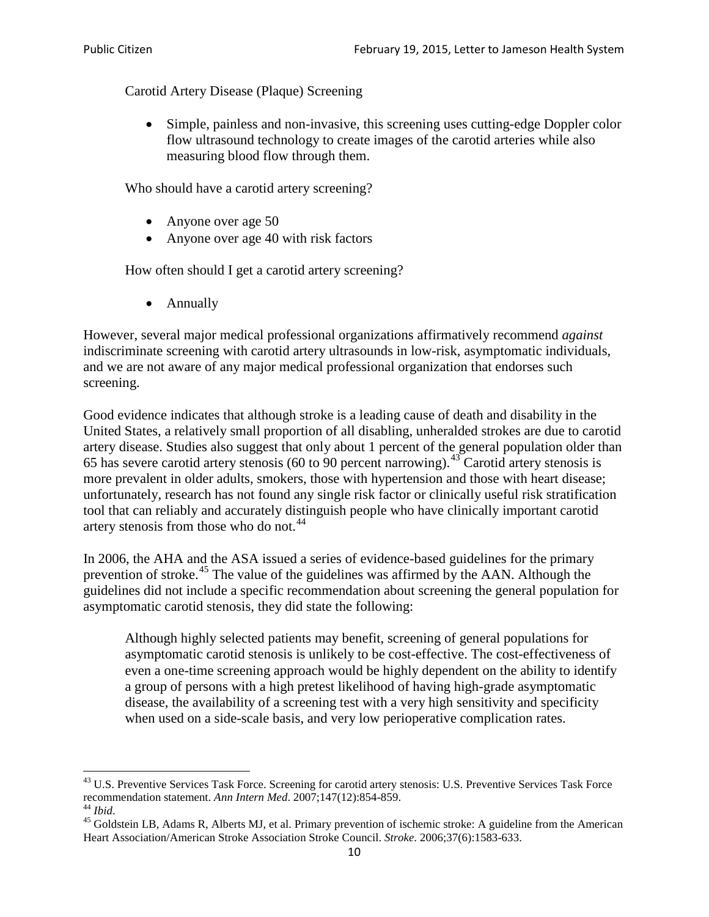Carotid Artery Disease (Plaque) Screening

• Simple, painless and non-invasive, this screening uses cutting-edge Doppler color flow ultrasound technology to create images of the carotid arteries while also measuring blood flow through them.

Who should have a carotid artery screening?

- Anyone over age 50
- Anyone over age 40 with risk factors

How often should I get a carotid artery screening?

• Annually

However, several major medical professional organizations affirmatively recommend *against* indiscriminate screening with carotid artery ultrasounds in low-risk, asymptomatic individuals, and we are not aware of any major medical professional organization that endorses such screening.

Good evidence indicates that although stroke is a leading cause of death and disability in the United States, a relatively small proportion of all disabling, unheralded strokes are due to carotid artery disease. Studies also suggest that only about 1 percent of the general population older than 65 has severe carotid artery stenosis (60 to 90 percent narrowing).<sup>[43](#page-9-0)</sup> Carotid artery stenosis is more prevalent in older adults, smokers, those with hypertension and those with heart disease; unfortunately, research has not found any single risk factor or clinically useful risk stratification tool that can reliably and accurately distinguish people who have clinically important carotid artery stenosis from those who do not.<sup>[44](#page-9-1)</sup>

In 2006, the AHA and the ASA issued a series of evidence-based guidelines for the primary prevention of stroke.<sup>[45](#page-9-2)</sup> The value of the guidelines was affirmed by the AAN. Although the guidelines did not include a specific recommendation about screening the general population for asymptomatic carotid stenosis, they did state the following:

Although highly selected patients may benefit, screening of general populations for asymptomatic carotid stenosis is unlikely to be cost-effective. The cost-effectiveness of even a one-time screening approach would be highly dependent on the ability to identify a group of persons with a high pretest likelihood of having high-grade asymptomatic disease, the availability of a screening test with a very high sensitivity and specificity when used on a side-scale basis, and very low perioperative complication rates.

<span id="page-9-0"></span> $^{43}$  U.S. Preventive Services Task Force. Screening for carotid artery stenosis: U.S. Preventive Services Task Force recommendation statement. Ann Intern Med. 2007;147(12):854-859.

<span id="page-9-2"></span><span id="page-9-1"></span><sup>&</sup>lt;sup>44</sup> *Ibid*. <sup>45</sup> Goldstein LB, Adams R, Alberts MJ, et al. Primary prevention of ischemic stroke: A guideline from the American <sup>45</sup> Goldstein LB, Adams R, Alberts MJ, et al. Primary prevention of ischemic stroke: A guide Heart Association/American Stroke Association Stroke Council. *Stroke*. 2006;37(6):1583-633.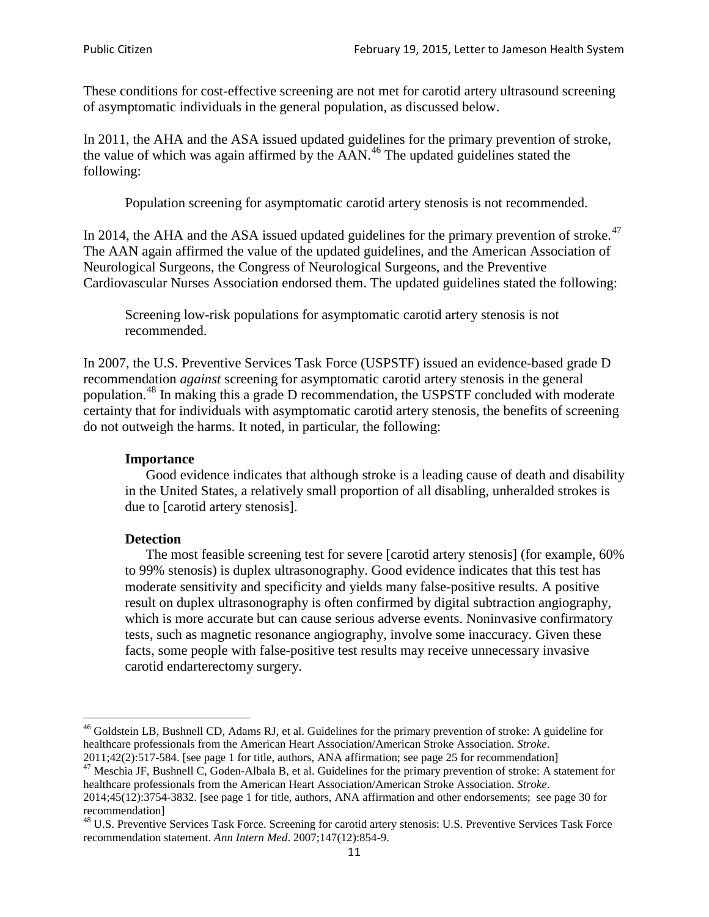These conditions for cost-effective screening are not met for carotid artery ultrasound screening of asymptomatic individuals in the general population, as discussed below.

In 2011, the AHA and the ASA issued updated guidelines for the primary prevention of stroke, the value of which was again affirmed by the  $AAN<sup>46</sup>$  $AAN<sup>46</sup>$  $AAN<sup>46</sup>$ . The updated guidelines stated the following:

Population screening for asymptomatic carotid artery stenosis is not recommended.

In 2014, the AHA and the ASA issued updated guidelines for the primary prevention of stroke.<sup>47</sup> The AAN again affirmed the value of the updated guidelines, and the American Association of Neurological Surgeons, the Congress of Neurological Surgeons, and the Preventive Cardiovascular Nurses Association endorsed them. The updated guidelines stated the following:

Screening low-risk populations for asymptomatic carotid artery stenosis is not recommended.

In 2007, the U.S. Preventive Services Task Force (USPSTF) issued an evidence-based grade D recommendation *against* screening for asymptomatic carotid artery stenosis in the general population.[48](#page-10-2) In making this a grade D recommendation, the USPSTF concluded with moderate certainty that for individuals with asymptomatic carotid artery stenosis, the benefits of screening do not outweigh the harms. It noted, in particular, the following:

#### **Importance**

Good evidence indicates that although stroke is a leading cause of death and disability in the United States, a relatively small proportion of all disabling, unheralded strokes is due to [carotid artery stenosis].

#### **Detection**

The most feasible screening test for severe [carotid artery stenosis] (for example, 60% to 99% stenosis) is duplex ultrasonography. Good evidence indicates that this test has moderate sensitivity and specificity and yields many false-positive results. A positive result on duplex ultrasonography is often confirmed by digital subtraction angiography, which is more accurate but can cause serious adverse events. Noninvasive confirmatory tests, such as magnetic resonance angiography, involve some inaccuracy. Given these facts, some people with false-positive test results may receive unnecessary invasive carotid endarterectomy surgery.

<span id="page-10-0"></span><sup>&</sup>lt;sup>46</sup> Goldstein LB, Bushnell CD, Adams RJ, et al. Guidelines for the primary prevention of stroke: A guideline for healthcare professionals from the American Heart Association/American Stroke Association. *Stroke*.<br>2011;42(2):517-584. [see page 1 for title, authors, ANA affirmation; see page 25 for recommendation]

<span id="page-10-1"></span><sup>&</sup>lt;sup>47</sup> Meschia JF, Bushnell C, Goden-Albala B, et al. Guidelines for the primary prevention of stroke: A statement for healthcare professionals from the American Heart Association/American Stroke Association. *Stroke*.

<sup>2014;45(12):3754-3832.</sup> [see page 1 for title, authors, ANA affirmation and other endorsements; see page 30 for recommendation]<br><sup>48</sup> U.S. Preventive Services Task Force. Screening for carotid artery stenosis: U.S. Preventive Services Task Force

<span id="page-10-2"></span>recommendation statement. *Ann Intern Med*. 2007;147(12):854-9.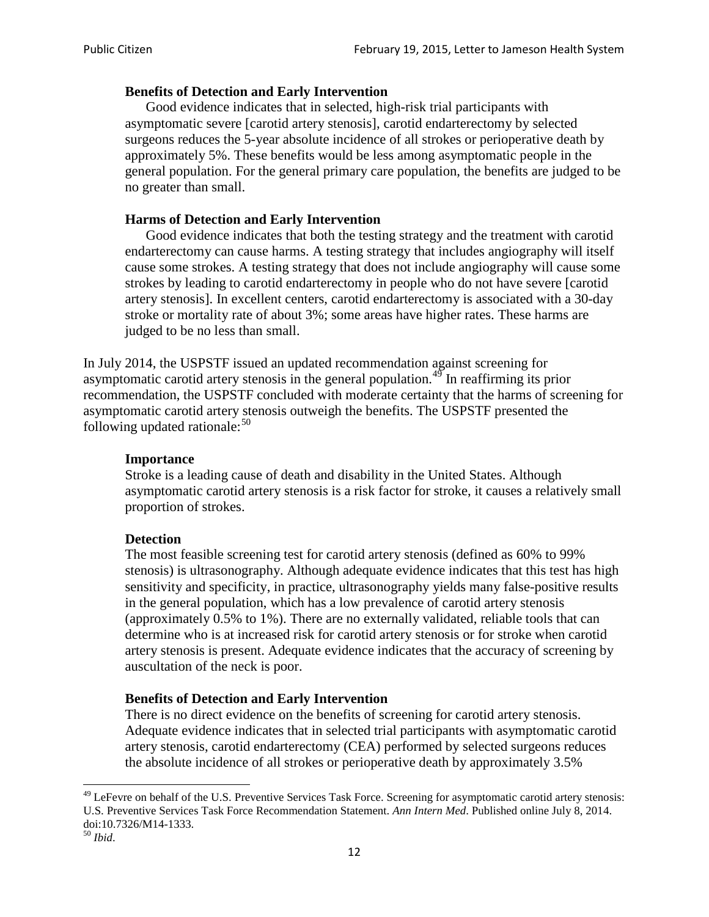#### **Benefits of Detection and Early Intervention**

Good evidence indicates that in selected, high-risk trial participants with asymptomatic severe [carotid artery stenosis], carotid endarterectomy by selected surgeons reduces the 5-year absolute incidence of all strokes or perioperative death by approximately 5%. These benefits would be less among asymptomatic people in the general population. For the general primary care population, the benefits are judged to be no greater than small.

#### **Harms of Detection and Early Intervention**

Good evidence indicates that both the testing strategy and the treatment with carotid endarterectomy can cause harms. A testing strategy that includes angiography will itself cause some strokes. A testing strategy that does not include angiography will cause some strokes by leading to carotid endarterectomy in people who do not have severe [carotid artery stenosis]. In excellent centers, carotid endarterectomy is associated with a 30-day stroke or mortality rate of about 3%; some areas have higher rates. These harms are judged to be no less than small.

In July 2014, the USPSTF issued an updated recommendation against screening for asymptomatic carotid artery stenosis in the general population.<sup>[49](#page-11-0)</sup> In reaffirming its prior recommendation, the USPSTF concluded with moderate certainty that the harms of screening for asymptomatic carotid artery stenosis outweigh the benefits. The USPSTF presented the following updated rationale: $50$ 

#### **Importance**

Stroke is a leading cause of death and disability in the United States. Although asymptomatic carotid artery stenosis is a risk factor for stroke, it causes a relatively small proportion of strokes.

#### **Detection**

The most feasible screening test for carotid artery stenosis (defined as 60% to 99% stenosis) is ultrasonography. Although adequate evidence indicates that this test has high sensitivity and specificity, in practice, ultrasonography yields many false-positive results in the general population, which has a low prevalence of carotid artery stenosis (approximately 0.5% to 1%). There are no externally validated, reliable tools that can determine who is at increased risk for carotid artery stenosis or for stroke when carotid artery stenosis is present. Adequate evidence indicates that the accuracy of screening by auscultation of the neck is poor.

#### **Benefits of Detection and Early Intervention**

There is no direct evidence on the benefits of screening for carotid artery stenosis. Adequate evidence indicates that in selected trial participants with asymptomatic carotid artery stenosis, carotid endarterectomy (CEA) performed by selected surgeons reduces the absolute incidence of all strokes or perioperative death by approximately 3.5%

<span id="page-11-0"></span><sup>&</sup>lt;sup>49</sup> LeFevre on behalf of the U.S. Preventive Services Task Force. Screening for asymptomatic carotid artery stenosis: U.S. Preventive Services Task Force Recommendation Statement. *Ann Intern Med*. Published online July 8, 2014. doi:10.7326/M14-1333. <sup>50</sup> *Ibid*.

<span id="page-11-1"></span>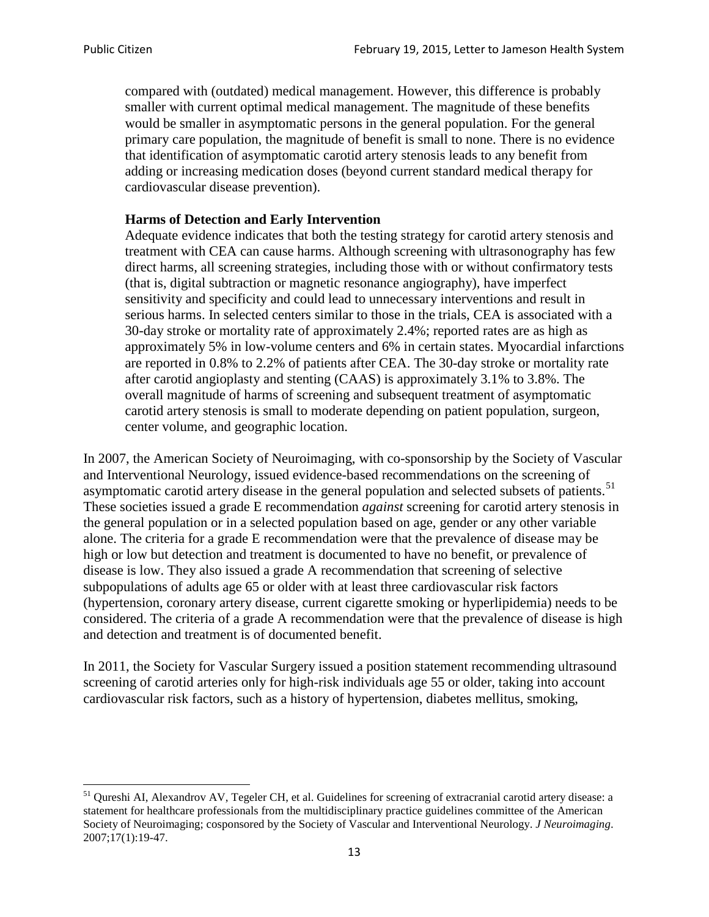compared with (outdated) medical management. However, this difference is probably smaller with current optimal medical management. The magnitude of these benefits would be smaller in asymptomatic persons in the general population. For the general primary care population, the magnitude of benefit is small to none. There is no evidence that identification of asymptomatic carotid artery stenosis leads to any benefit from adding or increasing medication doses (beyond current standard medical therapy for cardiovascular disease prevention).

#### **Harms of Detection and Early Intervention**

Adequate evidence indicates that both the testing strategy for carotid artery stenosis and treatment with CEA can cause harms. Although screening with ultrasonography has few direct harms, all screening strategies, including those with or without confirmatory tests (that is, digital subtraction or magnetic resonance angiography), have imperfect sensitivity and specificity and could lead to unnecessary interventions and result in serious harms. In selected centers similar to those in the trials, CEA is associated with a 30-day stroke or mortality rate of approximately 2.4%; reported rates are as high as approximately 5% in low-volume centers and 6% in certain states. Myocardial infarctions are reported in 0.8% to 2.2% of patients after CEA. The 30-day stroke or mortality rate after carotid angioplasty and stenting (CAAS) is approximately 3.1% to 3.8%. The overall magnitude of harms of screening and subsequent treatment of asymptomatic carotid artery stenosis is small to moderate depending on patient population, surgeon, center volume, and geographic location.

In 2007, the American Society of Neuroimaging, with co-sponsorship by the Society of Vascular and Interventional Neurology, issued evidence-based recommendations on the screening of asymptomatic carotid artery disease in the general population and selected subsets of patients.<sup>[51](#page-12-0)</sup> These societies issued a grade E recommendation *against* screening for carotid artery stenosis in the general population or in a selected population based on age, gender or any other variable alone. The criteria for a grade E recommendation were that the prevalence of disease may be high or low but detection and treatment is documented to have no benefit, or prevalence of disease is low. They also issued a grade A recommendation that screening of selective subpopulations of adults age 65 or older with at least three cardiovascular risk factors (hypertension, coronary artery disease, current cigarette smoking or hyperlipidemia) needs to be considered. The criteria of a grade A recommendation were that the prevalence of disease is high and detection and treatment is of documented benefit.

In 2011, the Society for Vascular Surgery issued a position statement recommending ultrasound screening of carotid arteries only for high-risk individuals age 55 or older, taking into account cardiovascular risk factors, such as a history of hypertension, diabetes mellitus, smoking,

<span id="page-12-0"></span><sup>&</sup>lt;sup>51</sup> Oureshi AI, Alexandrov AV, Tegeler CH, et al. Guidelines for screening of extracranial carotid artery disease: a statement for healthcare professionals from the multidisciplinary practice guidelines committee of the American Society of Neuroimaging; cosponsored by the Society of Vascular and Interventional Neurology. *J Neuroimaging*. 2007;17(1):19-47.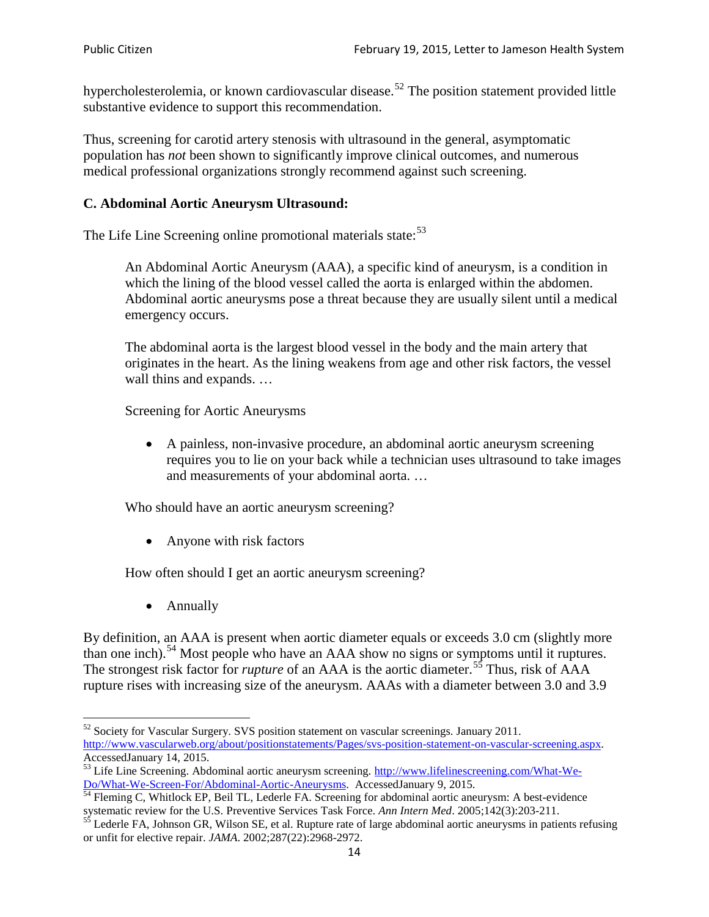hypercholesterolemia, or known cardiovascular disease.<sup>[52](#page-13-0)</sup> The position statement provided little substantive evidence to support this recommendation.

Thus, screening for carotid artery stenosis with ultrasound in the general, asymptomatic population has *not* been shown to significantly improve clinical outcomes, and numerous medical professional organizations strongly recommend against such screening.

### **C. Abdominal Aortic Aneurysm Ultrasound:**

The Life Line Screening online promotional materials state:<sup>[53](#page-13-1)</sup>

An Abdominal Aortic Aneurysm (AAA), a specific kind of aneurysm, is a condition in which the lining of the blood vessel called the aorta is enlarged within the abdomen. Abdominal aortic aneurysms pose a threat because they are usually silent until a medical emergency occurs.

The abdominal aorta is the largest blood vessel in the body and the main artery that originates in the heart. As the lining weakens from age and other risk factors, the vessel wall thins and expands. …

Screening for Aortic Aneurysms

• A painless, non-invasive procedure, an abdominal aortic aneurysm screening requires you to lie on your back while a technician uses ultrasound to take images and measurements of your abdominal aorta. …

Who should have an aortic aneurysm screening?

• Anyone with risk factors

How often should I get an aortic aneurysm screening?

• Annually

By definition, an AAA is present when aortic diameter equals or exceeds 3.0 cm (slightly more than one inch).<sup>[54](#page-13-2)</sup> Most people who have an AAA show no signs or symptoms until it ruptures. The strongest risk factor for *rupture* of an AAA is the aortic diameter.<sup>[55](#page-13-3)</sup> Thus, risk of AAA rupture rises with increasing size of the aneurysm. AAAs with a diameter between 3.0 and 3.9

<span id="page-13-0"></span> $52$  Society for Vascular Surgery. SVS position statement on vascular screenings. January 2011. http://www.vascularweb.org/about/positionstatements/Pages/svs-position-statement-on-vascular-screening.aspx.<br>Accessed January 14, 2015.

<span id="page-13-1"></span>Accessed January 14, 2015.<br>
Sa Life Line Screening. Abdominal aortic aneurysm screening. http://www.lifelinescreening.com/What-We-<br>
Do/What-We-Screen-For/Abdominal-Aortic-Aneurysms. Accessed January 9, 2015.

<span id="page-13-2"></span> $\frac{1}{54}$  Fleming C, Whitlock EP, Beil TL, Lederle FA. Screening for abdominal aortic aneurysm: A best-evidence systematic review for the U.S. Preventive Services Task Force. *Ann Intern Med.* 2005;142(3):203-211.<br><sup>55</sup> Lederle FA, Johnson GR, Wilson SE, et al. Rupture rate of large abdominal aortic aneurysms in patients refusing

<span id="page-13-3"></span>or unfit for elective repair. *JAMA*. 2002;287(22):2968-2972.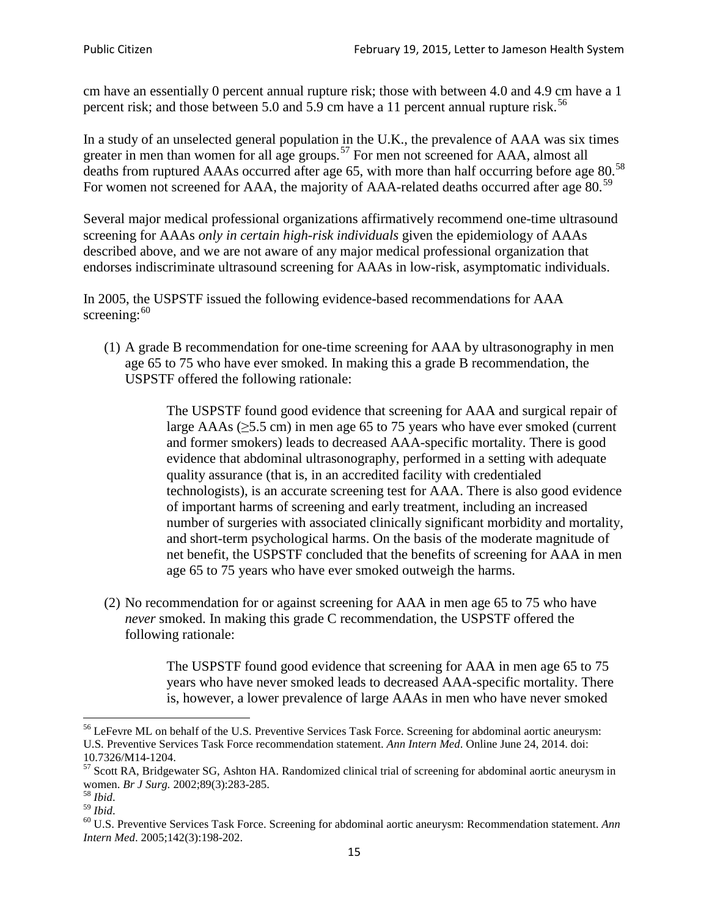cm have an essentially 0 percent annual rupture risk; those with between 4.0 and 4.9 cm have a 1 percent risk; and those between 5.0 and 5.9 cm have a 11 percent annual rupture risk.<sup>[56](#page-14-0)</sup>

In a study of an unselected general population in the U.K., the prevalence of AAA was six times greater in men than women for all age groups.<sup>[57](#page-14-1)</sup> For men not screened for  $AAA$ , almost all deaths from ruptured AAAs occurred after age 65, with more than half occurring before age 80.<sup>[58](#page-14-2)</sup> For women not screened for AAA, the majority of AAA-related deaths occurred after age 80.<sup>[59](#page-14-3)</sup>

Several major medical professional organizations affirmatively recommend one-time ultrasound screening for AAAs *only in certain high-risk individuals* given the epidemiology of AAAs described above, and we are not aware of any major medical professional organization that endorses indiscriminate ultrasound screening for AAAs in low-risk, asymptomatic individuals.

In 2005, the USPSTF issued the following evidence-based recommendations for AAA screening: $60$ 

(1) A grade B recommendation for one-time screening for AAA by ultrasonography in men age 65 to 75 who have ever smoked. In making this a grade [B recommendation,](http://www.uspreventiveservicestaskforce.org/uspstf/gradespre.htm#brec) the USPSTF offered the following rationale:

> The USPSTF found good evidence that screening for AAA and surgical repair of large AAAs ( $\geq$ 5.5 cm) in men age 65 to 75 years who have ever smoked (current and former smokers) leads to decreased AAA-specific mortality. There is good evidence that abdominal ultrasonography, performed in a setting with adequate quality assurance (that is, in an accredited facility with credentialed technologists), is an accurate screening test for AAA. There is also good evidence of important harms of screening and early treatment, including an increased number of surgeries with associated clinically significant morbidity and mortality, and short-term psychological harms. On the basis of the moderate magnitude of net benefit, the USPSTF concluded that the benefits of screening for AAA in men age 65 to 75 years who have ever smoked outweigh the harms.

(2) No recommendation for or against screening for AAA in men age 65 to 75 who have *never* smoked. In making this grade C recommendation, the USPSTF offered the following rationale:

> The USPSTF found good evidence that screening for AAA in men age 65 to 75 years who have never smoked leads to decreased AAA-specific mortality. There is, however, a lower prevalence of large AAAs in men who have never smoked

<span id="page-14-0"></span><sup>&</sup>lt;sup>56</sup> LeFevre ML on behalf of the U.S. Preventive Services Task Force. Screening for abdominal aortic aneurysm: U.S. Preventive Services Task Force recommendation statement. *Ann Intern Med*. Online June 24, 2014. doi:

<span id="page-14-1"></span><sup>10.7326/</sup>M14-1204.<br> $57$  Scott RA, Bridgewater SG, Ashton HA. Randomized clinical trial of screening for abdominal aortic aneurysm in women. *Br J Surg.* 2002;89(3):283-285.

<span id="page-14-4"></span><span id="page-14-3"></span>

<span id="page-14-2"></span><sup>&</sup>lt;sup>58</sup> *Ibid.*<br><sup>59</sup> *Ibid.* 2002;<br><sup>60</sup> U.S. Preventive Services Task Force. Screening for abdominal aortic aneurysm: Recommendation statement. *Ann Intern Med*. 2005;142(3):198-202.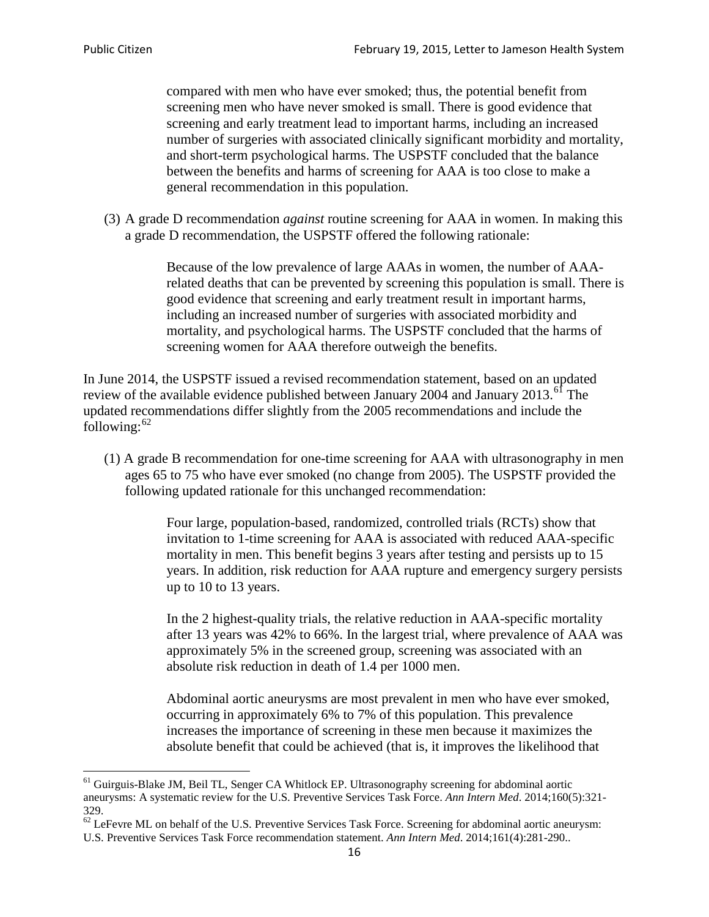compared with men who have ever smoked; thus, the potential benefit from screening men who have never smoked is small. There is good evidence that screening and early treatment lead to important harms, including an increased number of surgeries with associated clinically significant morbidity and mortality, and short-term psychological harms. The USPSTF concluded that the balance between the benefits and harms of screening for AAA is too close to make a general recommendation in this population.

(3) A grade D recommendation *against* routine screening for AAA in women. In making this a grade D recommendation, the USPSTF offered the following rationale:

> Because of the low prevalence of large AAAs in women, the number of AAArelated deaths that can be prevented by screening this population is small. There is good evidence that screening and early treatment result in important harms, including an increased number of surgeries with associated morbidity and mortality, and psychological harms. The USPSTF concluded that the harms of screening women for AAA therefore outweigh the benefits.

In June 2014, the USPSTF issued a revised recommendation statement, based on an updated review of the available evidence published between January 2004 and January 2013.<sup>[61](#page-15-0)</sup> The updated recommendations differ slightly from the 2005 recommendations and include the following: $62$ 

(1) A grade B recommendation for one-time screening for AAA with ultrasonography in men ages 65 to 75 who have ever smoked (no change from 2005). The USPSTF provided the following updated rationale for this unchanged recommendation:

> Four large, population-based, randomized, controlled trials (RCTs) show that invitation to 1-time screening for AAA is associated with reduced AAA-specific mortality in men. This benefit begins 3 years after testing and persists up to 15 years. In addition, risk reduction for AAA rupture and emergency surgery persists up to 10 to 13 years.

> In the 2 highest-quality trials, the relative reduction in AAA-specific mortality after 13 years was 42% to 66%. In the largest trial, where prevalence of AAA was approximately 5% in the screened group, screening was associated with an absolute risk reduction in death of 1.4 per 1000 men.

Abdominal aortic aneurysms are most prevalent in men who have ever smoked, occurring in approximately 6% to 7% of this population. This prevalence increases the importance of screening in these men because it maximizes the absolute benefit that could be achieved (that is, it improves the likelihood that

<span id="page-15-0"></span><sup>61</sup> Guirguis-Blake JM, Beil TL, Senger CA Whitlock EP. Ultrasonography screening for abdominal aortic aneurysms: A systematic review for the U.S. Preventive Services Task Force. *Ann Intern Med*. 2014;160(5):321- 329.

<span id="page-15-1"></span> $62$  LeFevre ML on behalf of the U.S. Preventive Services Task Force. Screening for abdominal aortic aneurysm: U.S. Preventive Services Task Force recommendation statement. *Ann Intern Med*. 2014;161(4):281-290..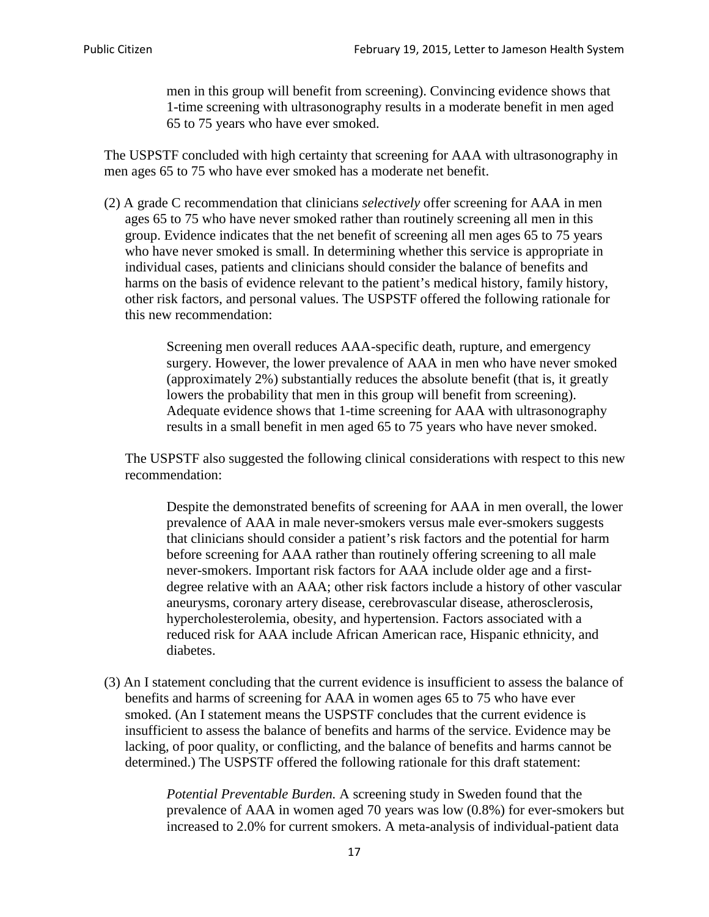men in this group will benefit from screening). Convincing evidence shows that 1-time screening with ultrasonography results in a moderate benefit in men aged 65 to 75 years who have ever smoked.

The USPSTF concluded with high certainty that screening for AAA with ultrasonography in men ages 65 to 75 who have ever smoked has a moderate net benefit.

(2) A grade C recommendation that clinicians *selectively* offer screening for AAA in men ages 65 to 75 who have never smoked rather than routinely screening all men in this group. Evidence indicates that the net benefit of screening all men ages 65 to 75 years who have never smoked is small. In determining whether this service is appropriate in individual cases, patients and clinicians should consider the balance of benefits and harms on the basis of evidence relevant to the patient's medical history, family history, other risk factors, and personal values. The USPSTF offered the following rationale for this new recommendation:

> Screening men overall reduces AAA-specific death, rupture, and emergency surgery. However, the lower prevalence of AAA in men who have never smoked (approximately 2%) substantially reduces the absolute benefit (that is, it greatly lowers the probability that men in this group will benefit from screening). Adequate evidence shows that 1-time screening for AAA with ultrasonography results in a small benefit in men aged 65 to 75 years who have never smoked.

The USPSTF also suggested the following clinical considerations with respect to this new recommendation:

Despite the demonstrated benefits of screening for AAA in men overall, the lower prevalence of AAA in male never-smokers versus male ever-smokers suggests that clinicians should consider a patient's risk factors and the potential for harm before screening for AAA rather than routinely offering screening to all male never-smokers. Important risk factors for AAA include older age and a firstdegree relative with an AAA; other risk factors include a history of other vascular aneurysms, coronary artery disease, cerebrovascular disease, atherosclerosis, hypercholesterolemia, obesity, and hypertension. Factors associated with a reduced risk for AAA include African American race, Hispanic ethnicity, and diabetes.

(3) An I statement concluding that the current evidence is insufficient to assess the balance of benefits and harms of screening for AAA in women ages 65 to 75 who have ever smoked. (An I statement means the USPSTF concludes that the current evidence is insufficient to assess the balance of benefits and harms of the service. Evidence may be lacking, of poor quality, or conflicting, and the balance of benefits and harms cannot be determined.) The USPSTF offered the following rationale for this draft statement:

> *Potential Preventable Burden.* A screening study in Sweden found that the prevalence of AAA in women aged 70 years was low (0.8%) for ever-smokers but increased to 2.0% for current smokers. A meta-analysis of individual-patient data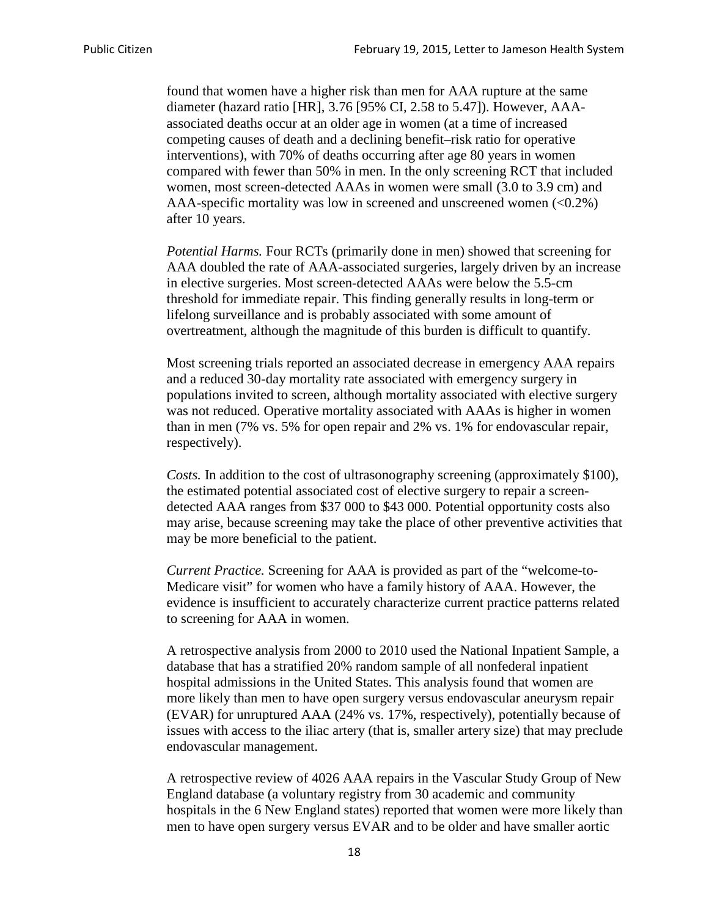found that women have a higher risk than men for AAA rupture at the same diameter (hazard ratio [HR], 3.76 [95% CI, 2.58 to 5.47]). However, AAAassociated deaths occur at an older age in women (at a time of increased competing causes of death and a declining benefit–risk ratio for operative interventions), with 70% of deaths occurring after age 80 years in women compared with fewer than 50% in men. In the only screening RCT that included women, most screen-detected AAAs in women were small (3.0 to 3.9 cm) and AAA-specific mortality was low in screened and unscreened women  $(<0.2\%)$ after 10 years.

*Potential Harms.* Four RCTs (primarily done in men) showed that screening for AAA doubled the rate of AAA-associated surgeries, largely driven by an increase in elective surgeries. Most screen-detected AAAs were below the 5.5-cm threshold for immediate repair. This finding generally results in long-term or lifelong surveillance and is probably associated with some amount of overtreatment, although the magnitude of this burden is difficult to quantify.

Most screening trials reported an associated decrease in emergency AAA repairs and a reduced 30-day mortality rate associated with emergency surgery in populations invited to screen, although mortality associated with elective surgery was not reduced. Operative mortality associated with AAAs is higher in women than in men (7% vs. 5% for open repair and 2% vs. 1% for endovascular repair, respectively).

*Costs.* In addition to the cost of ultrasonography screening (approximately \$100), the estimated potential associated cost of elective surgery to repair a screendetected AAA ranges from \$37 000 to \$43 000. Potential opportunity costs also may arise, because screening may take the place of other preventive activities that may be more beneficial to the patient.

*Current Practice.* Screening for AAA is provided as part of the "welcome-to-Medicare visit" for women who have a family history of AAA. However, the evidence is insufficient to accurately characterize current practice patterns related to screening for AAA in women.

A retrospective analysis from 2000 to 2010 used the National Inpatient Sample, a database that has a stratified 20% random sample of all nonfederal inpatient hospital admissions in the United States. This analysis found that women are more likely than men to have open surgery versus endovascular aneurysm repair (EVAR) for unruptured AAA (24% vs. 17%, respectively), potentially because of issues with access to the iliac artery (that is, smaller artery size) that may preclude endovascular management.

A retrospective review of 4026 AAA repairs in the Vascular Study Group of New England database (a voluntary registry from 30 academic and community hospitals in the 6 New England states) reported that women were more likely than men to have open surgery versus EVAR and to be older and have smaller aortic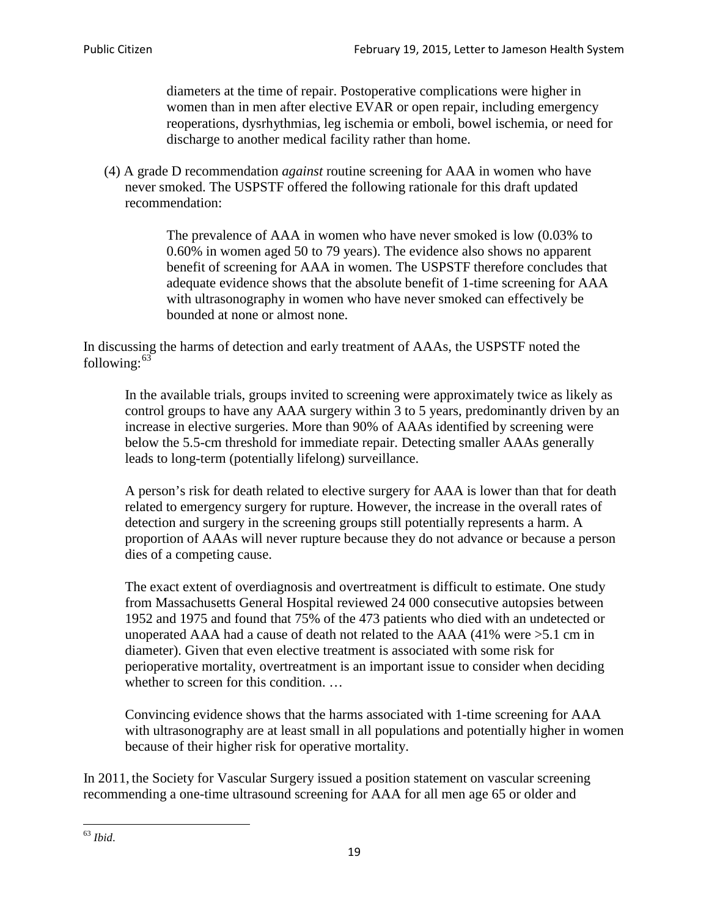diameters at the time of repair. Postoperative complications were higher in women than in men after elective EVAR or open repair, including emergency reoperations, dysrhythmias, leg ischemia or emboli, bowel ischemia, or need for discharge to another medical facility rather than home.

(4) A grade D recommendation *against* routine screening for AAA in women who have never smoked. The USPSTF offered the following rationale for this draft updated recommendation:

> The prevalence of AAA in women who have never smoked is low (0.03% to 0.60% in women aged 50 to 79 years). The evidence also shows no apparent benefit of screening for AAA in women. The USPSTF therefore concludes that adequate evidence shows that the absolute benefit of 1-time screening for AAA with ultrasonography in women who have never smoked can effectively be bounded at none or almost none.

In discussing the harms of detection and early treatment of AAAs, the USPSTF noted the following: $63$ 

In the available trials, groups invited to screening were approximately twice as likely as control groups to have any AAA surgery within 3 to 5 years, predominantly driven by an increase in elective surgeries. More than 90% of AAAs identified by screening were below the 5.5-cm threshold for immediate repair. Detecting smaller AAAs generally leads to long-term (potentially lifelong) surveillance.

A person's risk for death related to elective surgery for AAA is lower than that for death related to emergency surgery for rupture. However, the increase in the overall rates of detection and surgery in the screening groups still potentially represents a harm. A proportion of AAAs will never rupture because they do not advance or because a person dies of a competing cause.

The exact extent of overdiagnosis and overtreatment is difficult to estimate. One study from Massachusetts General Hospital reviewed 24 000 consecutive autopsies between 1952 and 1975 and found that 75% of the 473 patients who died with an undetected or unoperated AAA had a cause of death not related to the AAA (41% were >5.1 cm in diameter). Given that even elective treatment is associated with some risk for perioperative mortality, overtreatment is an important issue to consider when deciding whether to screen for this condition....

Convincing evidence shows that the harms associated with 1-time screening for AAA with ultrasonography are at least small in all populations and potentially higher in women because of their higher risk for operative mortality.

In 2011, the Society for Vascular Surgery issued a position statement on vascular screening recommending a one-time ultrasound screening for AAA for all men age 65 or older and

<span id="page-18-0"></span><sup>63</sup> *Ibid*.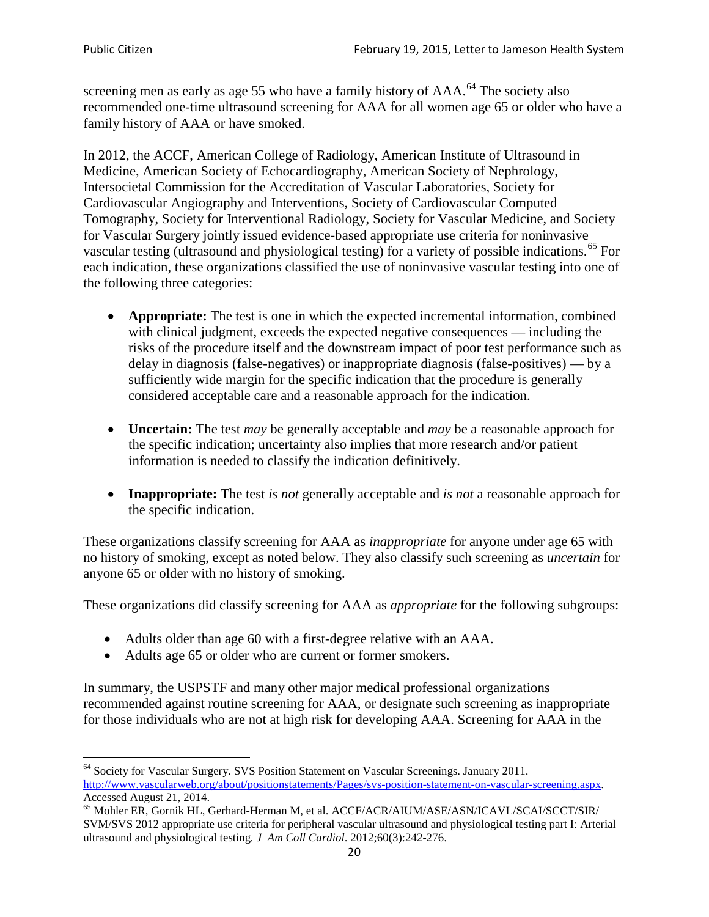screening men as early as age 55 who have a family history of AAA.<sup>[64](#page-19-0)</sup> The society also recommended one-time ultrasound screening for AAA for all women age 65 or older who have a family history of AAA or have smoked.

In 2012, the ACCF, American College of Radiology, American Institute of Ultrasound in Medicine, American Society of Echocardiography, American Society of Nephrology, Intersocietal Commission for the Accreditation of Vascular Laboratories, Society for Cardiovascular Angiography and Interventions, Society of Cardiovascular Computed Tomography, Society for Interventional Radiology, Society for Vascular Medicine, and Society for Vascular Surgery jointly issued evidence-based appropriate use criteria for noninvasive vascular testing (ultrasound and physiological testing) for a variety of possible indications.<sup>[65](#page-19-1)</sup> For each indication, these organizations classified the use of noninvasive vascular testing into one of the following three categories:

- **Appropriate:** The test is one in which the expected incremental information, combined with clinical judgment, exceeds the expected negative consequences — including the risks of the procedure itself and the downstream impact of poor test performance such as delay in diagnosis (false-negatives) or inappropriate diagnosis (false-positives) — by a sufficiently wide margin for the specific indication that the procedure is generally considered acceptable care and a reasonable approach for the indication.
- **Uncertain:** The test *may* be generally acceptable and *may* be a reasonable approach for the specific indication; uncertainty also implies that more research and/or patient information is needed to classify the indication definitively.
- **Inappropriate:** The test *is not* generally acceptable and *is not* a reasonable approach for the specific indication.

These organizations classify screening for AAA as *inappropriate* for anyone under age 65 with no history of smoking, except as noted below. They also classify such screening as *uncertain* for anyone 65 or older with no history of smoking.

These organizations did classify screening for AAA as *appropriate* for the following subgroups:

- Adults older than age 60 with a first-degree relative with an AAA.
- Adults age 65 or older who are current or former smokers.

In summary, the USPSTF and many other major medical professional organizations recommended against routine screening for AAA, or designate such screening as inappropriate for those individuals who are not at high risk for developing AAA. Screening for AAA in the

<span id="page-19-0"></span><sup>64</sup> Society for Vascular Surgery. SVS Position Statement on Vascular Screenings. January 2011. [http://www.vascularweb.org/about/positionstatements/Pages/svs-position-statement-on-vascular-screening.aspx.](http://www.vascularweb.org/about/positionstatements/Pages/svs-position-statement-on-vascular-screening.aspx) 

<span id="page-19-1"></span>Accessed August 21, 2014.<br><sup>65</sup> Mohler ER, Gornik HL, Gerhard-Herman M, et al. ACCF/ACR/AIUM/ASE/ASN/ICAVL/SCAI/SCCT/SIR/ SVM/SVS 2012 appropriate use criteria for peripheral vascular ultrasound and physiological testing part I: Arterial ultrasound and physiological testing*. J Am Coll Cardiol*. 2012;60(3):242-276.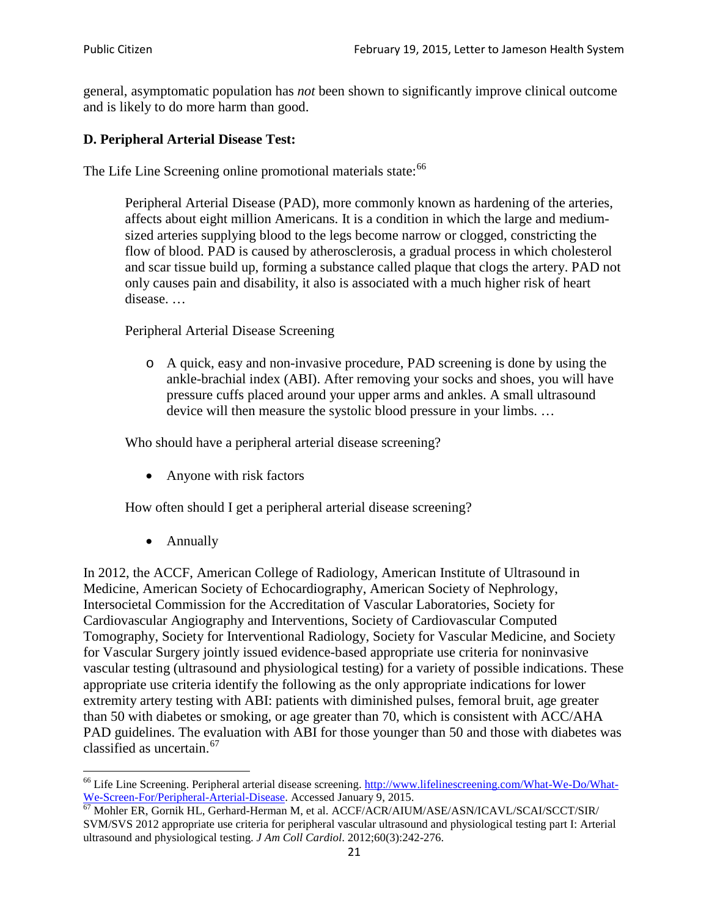general, asymptomatic population has *not* been shown to significantly improve clinical outcome and is likely to do more harm than good.

### **D. Peripheral Arterial Disease Test:**

The Life Line Screening online promotional materials state:<sup>[66](#page-20-0)</sup>

Peripheral Arterial Disease (PAD), more commonly known as hardening of the arteries, affects about eight million Americans. It is a condition in which the large and mediumsized arteries supplying blood to the legs become narrow or clogged, constricting the flow of blood. PAD is caused by atherosclerosis, a gradual process in which cholesterol and scar tissue build up, forming a substance called plaque that clogs the artery. PAD not only causes pain and disability, it also is associated with a much higher risk of heart disease. …

Peripheral Arterial Disease Screening

o A quick, easy and non-invasive procedure, PAD screening is done by using the ankle-brachial index (ABI). After removing your socks and shoes, you will have pressure cuffs placed around your upper arms and ankles. A small ultrasound device will then measure the systolic blood pressure in your limbs. …

Who should have a peripheral arterial disease screening?

• Anyone with risk factors

How often should I get a peripheral arterial disease screening?

• Annually

In 2012, the ACCF, American College of Radiology, American Institute of Ultrasound in Medicine, American Society of Echocardiography, American Society of Nephrology, Intersocietal Commission for the Accreditation of Vascular Laboratories, Society for Cardiovascular Angiography and Interventions, Society of Cardiovascular Computed Tomography, Society for Interventional Radiology, Society for Vascular Medicine, and Society for Vascular Surgery jointly issued evidence-based appropriate use criteria for noninvasive vascular testing (ultrasound and physiological testing) for a variety of possible indications. These appropriate use criteria identify the following as the only appropriate indications for lower extremity artery testing with ABI: patients with diminished pulses, femoral bruit, age greater than 50 with diabetes or smoking, or age greater than 70, which is consistent with ACC/AHA PAD guidelines. The evaluation with ABI for those younger than 50 and those with diabetes was classified as uncertain.<sup>[67](#page-20-1)</sup>

<span id="page-20-0"></span><sup>&</sup>lt;sup>66</sup> Life Line Screening. Peripheral arterial disease screening. [http://www.lifelinescreening.com/What-We-Do/What-](http://www.lifelinescreening.com/What-We-Do/What-We-Screen-For/Peripheral-Arterial-Disease)[We-Screen-For/Peripheral-Arterial-Disease.](http://www.lifelinescreening.com/What-We-Do/What-We-Screen-For/Peripheral-Arterial-Disease) Accessed January 9, 2015.<br><sup>67</sup> Mohler ER, Gornik HL, Gerhard-Herman M, et al. ACCF/ACR/AIUM/ASE/ASN/ICAVL/SCAI/SCCT/SIR/

<span id="page-20-1"></span>SVM/SVS 2012 appropriate use criteria for peripheral vascular ultrasound and physiological testing part I: Arterial ultrasound and physiological testing. *J Am Coll Cardiol*. 2012;60(3):242-276.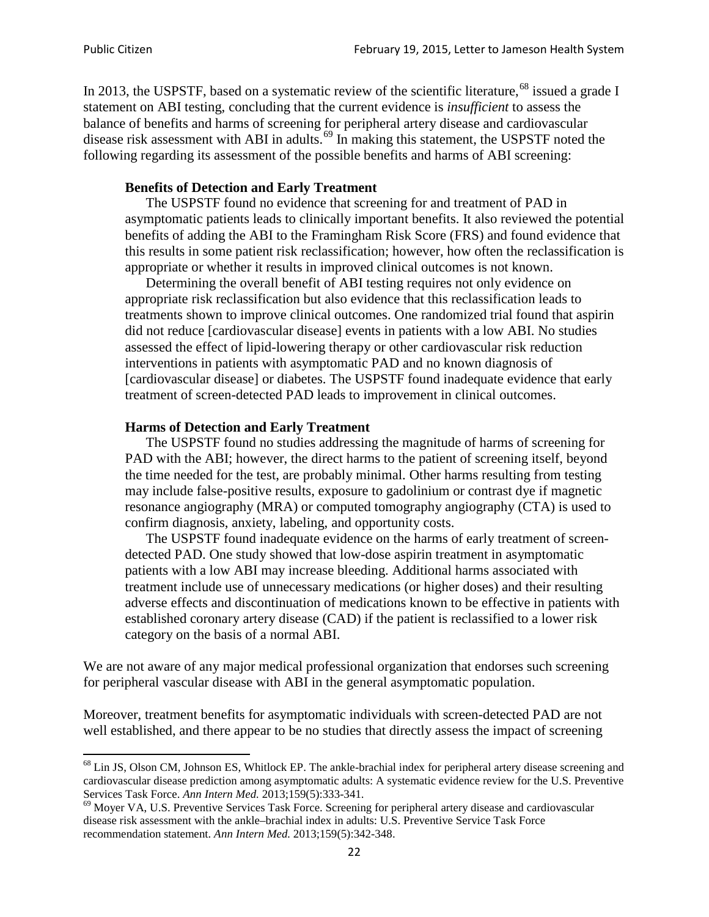In 2013, the USPSTF, based on a systematic review of the scientific literature,<sup>[68](#page-21-0)</sup> issued a grade I statement on ABI testing, concluding that the current evidence is *insufficient* to assess the balance of benefits and harms of screening for peripheral artery disease and cardiovascular disease risk assessment with ABI in adults.<sup>[69](#page-21-1)</sup> In making this statement, the USPSTF noted the following regarding its assessment of the possible benefits and harms of ABI screening:

#### **Benefits of Detection and Early Treatment**

The USPSTF found no evidence that screening for and treatment of PAD in asymptomatic patients leads to clinically important benefits. It also reviewed the potential benefits of adding the ABI to the Framingham Risk Score (FRS) and found evidence that this results in some patient risk reclassification; however, how often the reclassification is appropriate or whether it results in improved clinical outcomes is not known.

Determining the overall benefit of ABI testing requires not only evidence on appropriate risk reclassification but also evidence that this reclassification leads to treatments shown to improve clinical outcomes. One randomized trial found that aspirin did not reduce [cardiovascular disease] events in patients with a low ABI. No studies assessed the effect of lipid-lowering therapy or other cardiovascular risk reduction interventions in patients with asymptomatic PAD and no known diagnosis of [cardiovascular disease] or diabetes. The USPSTF found inadequate evidence that early treatment of screen-detected PAD leads to improvement in clinical outcomes.

#### **Harms of Detection and Early Treatment**

The USPSTF found no studies addressing the magnitude of harms of screening for PAD with the ABI; however, the direct harms to the patient of screening itself, beyond the time needed for the test, are probably minimal. Other harms resulting from testing may include false-positive results, exposure to gadolinium or contrast dye if magnetic resonance angiography (MRA) or computed tomography angiography (CTA) is used to confirm diagnosis, anxiety, labeling, and opportunity costs.

The USPSTF found inadequate evidence on the harms of early treatment of screendetected PAD. One study showed that low-dose aspirin treatment in asymptomatic patients with a low ABI may increase bleeding. Additional harms associated with treatment include use of unnecessary medications (or higher doses) and their resulting adverse effects and discontinuation of medications known to be effective in patients with established coronary artery disease (CAD) if the patient is reclassified to a lower risk category on the basis of a normal ABI.

We are not aware of any major medical professional organization that endorses such screening for peripheral vascular disease with ABI in the general asymptomatic population.

Moreover, treatment benefits for asymptomatic individuals with screen-detected PAD are not well established, and there appear to be no studies that directly assess the impact of screening

<span id="page-21-0"></span><sup>&</sup>lt;sup>68</sup> Lin JS, Olson CM, Johnson ES, Whitlock EP. The ankle-brachial index for peripheral artery disease screening and cardiovascular disease prediction among asymptomatic adults: A systematic evidence review for the U.S. Preventive Services Task Force. *Ann Intern Med.* 2013;159(5):333-341.<br><sup>69</sup> Moyer VA, U.S. Preventive Services Task Force. Screening for peripheral artery disease and cardiovascular

<span id="page-21-1"></span>disease risk assessment with the ankle–brachial index in adults: U.S. Preventive Service Task Force recommendation statement. *Ann Intern Med.* 2013;159(5):342-348.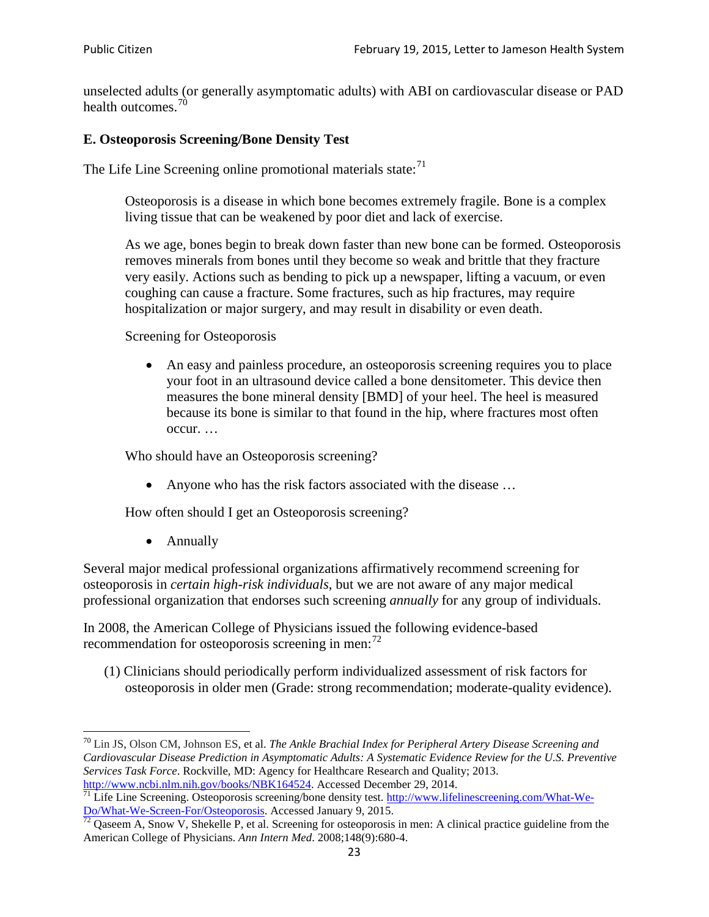unselected adults (or generally asymptomatic adults) with ABI on cardiovascular disease or PAD health outcomes.<sup>[70](#page-22-0)</sup>

### **E. Osteoporosis Screening/Bone Density Test**

The Life Line Screening online promotional materials state: $71$ 

Osteoporosis is a disease in which bone becomes extremely fragile. Bone is a complex living tissue that can be weakened by poor diet and lack of exercise.

As we age, bones begin to break down faster than new bone can be formed. Osteoporosis removes minerals from bones until they become so weak and brittle that they fracture very easily. Actions such as bending to pick up a newspaper, lifting a vacuum, or even coughing can cause a fracture. Some fractures, such as hip fractures, may require hospitalization or major surgery, and may result in disability or even death.

Screening for Osteoporosis

• An easy and painless procedure, an osteoporosis screening requires you to place your foot in an ultrasound device called a bone densitometer. This device then measures the bone mineral density [BMD] of your heel. The heel is measured because its bone is similar to that found in the hip, where fractures most often occur. …

Who should have an Osteoporosis screening?

• Anyone who has the risk factors associated with the disease ...

How often should I get an Osteoporosis screening?

• Annually

Several major medical professional organizations affirmatively recommend screening for osteoporosis in *certain high-risk individuals*, but we are not aware of any major medical professional organization that endorses such screening *annually* for any group of individuals.

In 2008, the American College of Physicians issued the following evidence-based recommendation for osteoporosis screening in men: $^{72}$  $^{72}$  $^{72}$ 

(1) Clinicians should periodically perform individualized assessment of risk factors for osteoporosis in older men (Grade: strong recommendation; moderate-quality evidence).

<span id="page-22-0"></span><sup>70</sup> [Lin JS,](http://www.ncbi.nlm.nih.gov/pubmed?term=Lin%20JS%5BAuthor%5D&cauthor=true&cauthor_uid=24156115) [Olson CM,](http://www.ncbi.nlm.nih.gov/pubmed?term=Olson%20CM%5BAuthor%5D&cauthor=true&cauthor_uid=24156115) [Johnson ES,](http://www.ncbi.nlm.nih.gov/pubmed?term=Johnson%20ES%5BAuthor%5D&cauthor=true&cauthor_uid=24156115) et al. *The Ankle Brachial Index for Peripheral Artery Disease Screening and Cardiovascular Disease Prediction in Asymptomatic Adults: A Systematic Evidence Review for the U.S. Preventive Services Task Force*. Rockville, MD: Agency for Healthcare Research and Quality; 2013.<br>http://www.ncbi.nlm.nih.gov/books/NBK164524. Accessed December 29, 2014.

<span id="page-22-1"></span> $\frac{1}{71}$  Life Line Screening. Osteoporosis screening/bone density test. [http://www.lifelinescreening.com/What-We-](http://www.lifelinescreening.com/What-We-Do/What-We-Screen-For/Osteoporosis) $\frac{Do/What-We-Screen-For/Osteoporosis}{72}$  Qaseem A, Snow V, Shekelle P, et al. Screening for osteoporosis in men: A clinical practice guideline from the

<span id="page-22-2"></span>American College of Physicians. *Ann Intern Med*. 2008;148(9):680-4.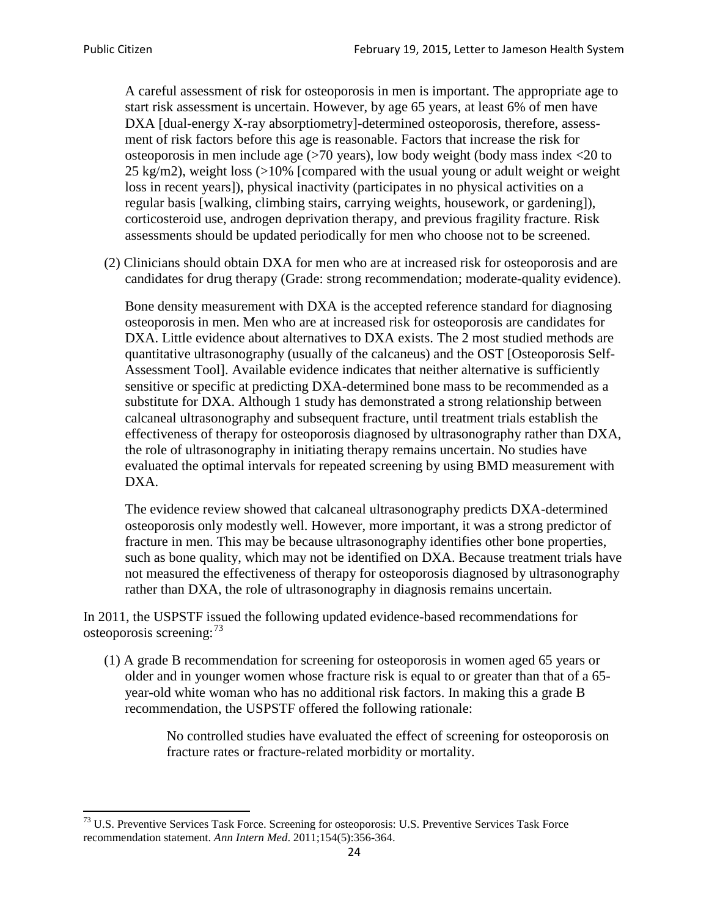A careful assessment of risk for osteoporosis in men is important. The appropriate age to start risk assessment is uncertain. However, by age 65 years, at least 6% of men have DXA [dual-energy X-ray absorptiometry]-determined osteoporosis, therefore, assessment of risk factors before this age is reasonable. Factors that increase the risk for osteoporosis in men include age (>70 years), low body weight (body mass index <20 to 25 kg/m2), weight loss (>10% [compared with the usual young or adult weight or weight loss in recent years]), physical inactivity (participates in no physical activities on a regular basis [walking, climbing stairs, carrying weights, housework, or gardening]), corticosteroid use, androgen deprivation therapy, and previous fragility fracture. Risk assessments should be updated periodically for men who choose not to be screened.

(2) Clinicians should obtain DXA for men who are at increased risk for osteoporosis and are candidates for drug therapy (Grade: strong recommendation; moderate-quality evidence).

Bone density measurement with DXA is the accepted reference standard for diagnosing osteoporosis in men. Men who are at increased risk for osteoporosis are candidates for DXA. Little evidence about alternatives to DXA exists. The 2 most studied methods are quantitative ultrasonography (usually of the calcaneus) and the OST [Osteoporosis Self-Assessment Tool]. Available evidence indicates that neither alternative is sufficiently sensitive or specific at predicting DXA-determined bone mass to be recommended as a substitute for DXA. Although 1 study has demonstrated a strong relationship between calcaneal ultrasonography and subsequent fracture, until treatment trials establish the effectiveness of therapy for osteoporosis diagnosed by ultrasonography rather than DXA, the role of ultrasonography in initiating therapy remains uncertain. No studies have evaluated the optimal intervals for repeated screening by using BMD measurement with DXA.

The evidence review showed that calcaneal ultrasonography predicts DXA-determined osteoporosis only modestly well. However, more important, it was a strong predictor of fracture in men. This may be because ultrasonography identifies other bone properties, such as bone quality, which may not be identified on DXA. Because treatment trials have not measured the effectiveness of therapy for osteoporosis diagnosed by ultrasonography rather than DXA, the role of ultrasonography in diagnosis remains uncertain.

In 2011, the USPSTF issued the following updated evidence-based recommendations for osteoporosis screening:<sup>[73](#page-23-0)</sup>

(1) A grade B recommendation for screening for osteoporosis in women aged 65 years or older and in younger women whose fracture risk is equal to or greater than that of a 65 year-old white woman who has no additional risk factors. In making this a grade B recommendation, the USPSTF offered the following rationale:

> No controlled studies have evaluated the effect of screening for osteoporosis on fracture rates or fracture-related morbidity or mortality.

<span id="page-23-0"></span><sup>&</sup>lt;sup>73</sup> U.S. Preventive Services Task Force. Screening for osteoporosis: U.S. Preventive Services Task Force recommendation statement. *Ann Intern Med*. 2011;154(5):356-364.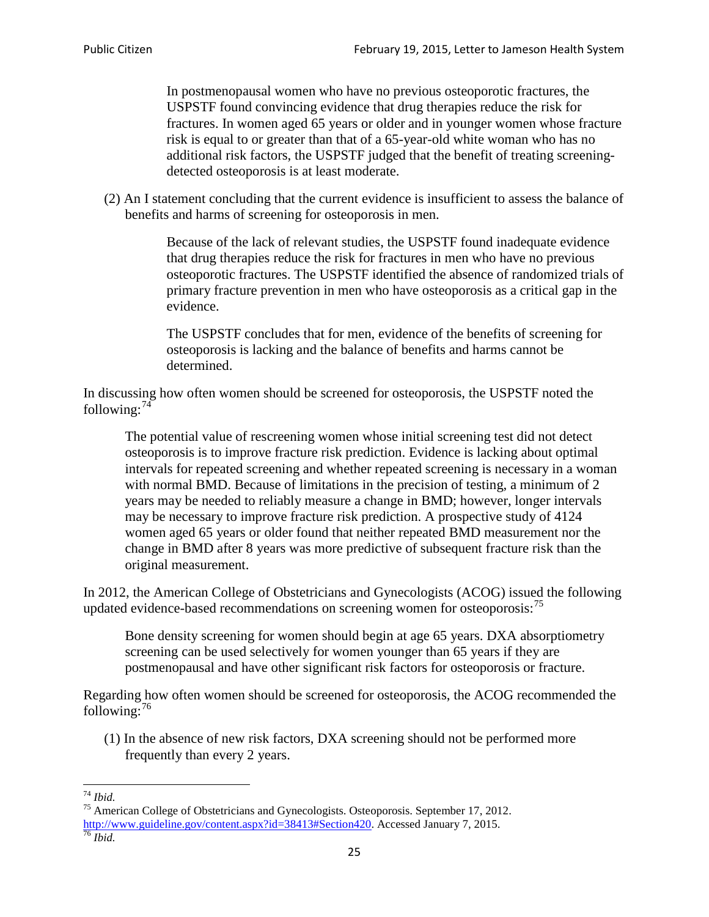In postmenopausal women who have no previous osteoporotic fractures, the USPSTF found convincing evidence that drug therapies reduce the risk for fractures. In women aged 65 years or older and in younger women whose fracture risk is equal to or greater than that of a 65-year-old white woman who has no additional risk factors, the USPSTF judged that the benefit of treating screeningdetected osteoporosis is at least moderate.

(2) An I statement concluding that the current evidence is insufficient to assess the balance of benefits and harms of screening for osteoporosis in men.

> Because of the lack of relevant studies, the USPSTF found inadequate evidence that drug therapies reduce the risk for fractures in men who have no previous osteoporotic fractures. The USPSTF identified the absence of randomized trials of primary fracture prevention in men who have osteoporosis as a critical gap in the evidence.

The USPSTF concludes that for men, evidence of the benefits of screening for osteoporosis is lacking and the balance of benefits and harms cannot be determined.

In discussing how often women should be screened for osteoporosis, the USPSTF noted the following: $74$ 

The potential value of rescreening women whose initial screening test did not detect osteoporosis is to improve fracture risk prediction. Evidence is lacking about optimal intervals for repeated screening and whether repeated screening is necessary in a woman with normal BMD. Because of limitations in the precision of testing, a minimum of 2 years may be needed to reliably measure a change in BMD; however, longer intervals may be necessary to improve fracture risk prediction. A prospective study of 4124 women aged 65 years or older found that neither repeated BMD measurement nor the change in BMD after 8 years was more predictive of subsequent fracture risk than the original measurement.

In 2012, the American College of Obstetricians and Gynecologists (ACOG) issued the following updated evidence-based recommendations on screening women for osteoporosis:<sup>[75](#page-24-1)</sup>

Bone density screening for women should begin at age 65 years. DXA absorptiometry screening can be used selectively for women younger than 65 years if they are postmenopausal and have other significant risk factors for osteoporosis or fracture.

Regarding how often women should be screened for osteoporosis, the ACOG recommended the following: $^{76}$  $^{76}$  $^{76}$ 

(1) In the absence of new risk factors, DXA screening should not be performed more frequently than every 2 years.

<span id="page-24-2"></span><span id="page-24-1"></span><span id="page-24-0"></span><sup>74</sup> *Ibid.* <sup>75</sup> American College of Obstetricians and Gynecologists. Osteoporosis. September 17, 2012. [http://www.guideline.gov/content.aspx?id=38413#Section420.](http://www.guideline.gov/content.aspx?id=38413#Section420) Accessed January 7, 2015.<br><sup>76</sup> *Ibid.*